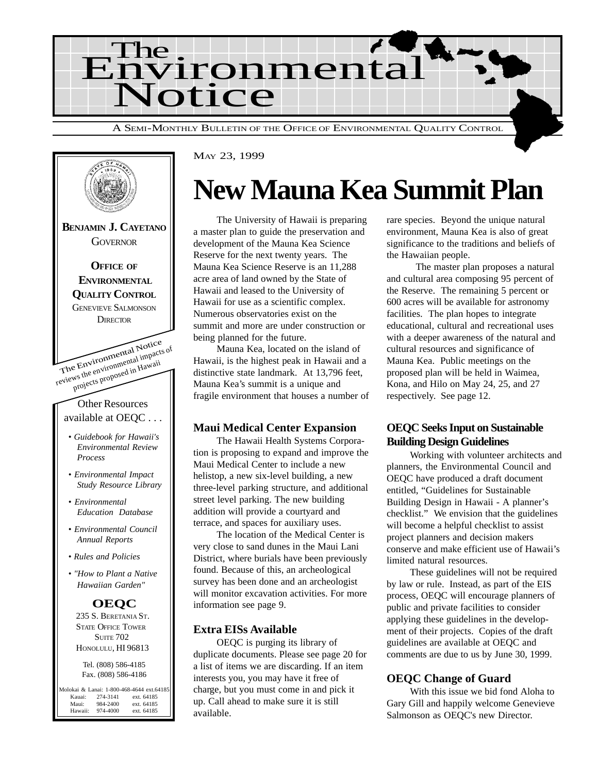



MAY 23, 1999

### **New Mauna Kea Summit Plan**

The University of Hawaii is preparing a master plan to guide the preservation and development of the Mauna Kea Science Reserve for the next twenty years. The Mauna Kea Science Reserve is an 11,288 acre area of land owned by the State of Hawaii and leased to the University of Hawaii for use as a scientific complex. Numerous observatories exist on the summit and more are under construction or being planned for the future.

Mauna Kea, located on the island of Hawaii, is the highest peak in Hawaii and a distinctive state landmark. At 13,796 feet, Mauna Kea's summit is a unique and fragile environment that houses a number of

#### **Maui Medical Center Expansion**

The Hawaii Health Systems Corporation is proposing to expand and improve the Maui Medical Center to include a new helistop, a new six-level building, a new three-level parking structure, and additional street level parking. The new building addition will provide a courtyard and terrace, and spaces for auxiliary uses.

The location of the Medical Center is very close to sand dunes in the Maui Lani District, where burials have been previously found. Because of this, an archeological survey has been done and an archeologist will monitor excavation activities. For more information see page 9.

#### **Extra EISs Available**

OEQC is purging its library of duplicate documents. Please see page 20 for a list of items we are discarding. If an item interests you, you may have it free of charge, but you must come in and pick it up. Call ahead to make sure it is still available.

rare species. Beyond the unique natural environment, Mauna Kea is also of great significance to the traditions and beliefs of the Hawaiian people.

 The master plan proposes a natural and cultural area composing 95 percent of the Reserve. The remaining 5 percent or 600 acres will be available for astronomy facilities. The plan hopes to integrate educational, cultural and recreational uses with a deeper awareness of the natural and cultural resources and significance of Mauna Kea. Public meetings on the proposed plan will be held in Waimea, Kona, and Hilo on May 24, 25, and 27 respectively. See page 12.

#### **OEQC Seeks Input on Sustainable Building Design Guidelines**

Working with volunteer architects and planners, the Environmental Council and OEQC have produced a draft document entitled, "Guidelines for Sustainable Building Design in Hawaii - A planner's checklist." We envision that the guidelines will become a helpful checklist to assist project planners and decision makers conserve and make efficient use of Hawaii's limited natural resources.

These guidelines will not be required by law or rule. Instead, as part of the EIS process, OEQC will encourage planners of public and private facilities to consider applying these guidelines in the development of their projects. Copies of the draft guidelines are available at OEQC and comments are due to us by June 30, 1999.

#### **OEQC Change of Guard**

With this issue we bid fond Aloha to Gary Gill and happily welcome Genevieve Salmonson as OEQC's new Director.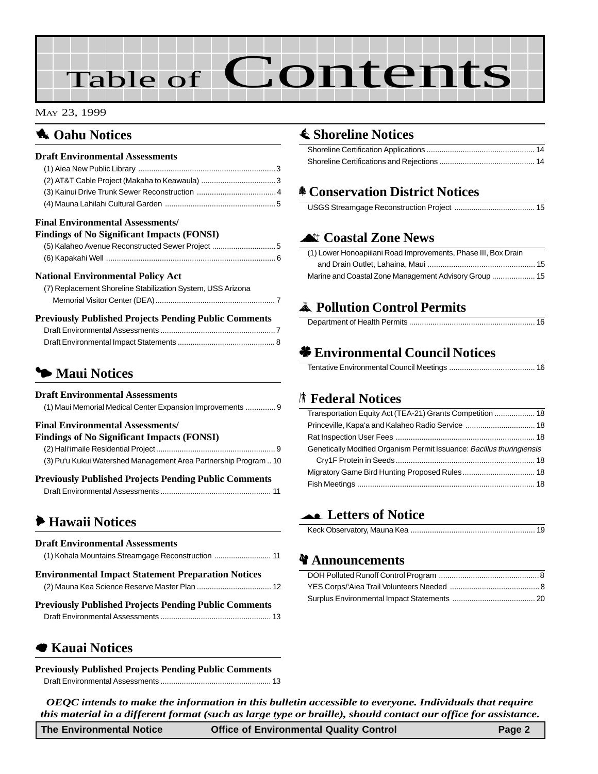# Table of Contents

#### MAY 23, 1999

#### **1** Oahu Notices

| <b>Draft Environmental Assessments</b>  |  |
|-----------------------------------------|--|
|                                         |  |
|                                         |  |
|                                         |  |
|                                         |  |
| <b>Final Environmental Assessments/</b> |  |

#### **Findings of No Significant Impacts (FONSI)**

| <b>FINAINES OF NO SIGNIFICANT IMPACTS (FOINSI)</b> |
|----------------------------------------------------|
| (5) Kalaheo Avenue Reconstructed Sewer Project 5   |
|                                                    |

#### **National Environmental Policy Act**

| (7) Replacement Shoreline Stabilization System, USS Arizona |
|-------------------------------------------------------------|
|                                                             |
|                                                             |

| <b>Previously Published Projects Pending Public Comments</b> |  |
|--------------------------------------------------------------|--|
|                                                              |  |
|                                                              |  |

#### **5 Maui Notices**

#### **Draft Environmental Assessments**

| (1) Maui Memorial Medical Center Expansion Improvements  9       |  |
|------------------------------------------------------------------|--|
| <b>Final Environmental Assessments/</b>                          |  |
| <b>Findings of No Significant Impacts (FONSI)</b>                |  |
|                                                                  |  |
| (3) Pu'u Kukui Watershed Management Area Partnership Program  10 |  |
|                                                                  |  |

| <b>Previously Published Projects Pending Public Comments</b> |  |
|--------------------------------------------------------------|--|
|                                                              |  |

#### 6 **Hawaii Notices**

| <b>Draft Environmental Assessments</b><br>(1) Kohala Mountains Streamgage Reconstruction  11 |  |
|----------------------------------------------------------------------------------------------|--|
| <b>Environmental Impact Statement Preparation Notices</b>                                    |  |
| <b>Previously Published Projects Pending Public Comments</b>                                 |  |
|                                                                                              |  |

#### 7 **Kauai Notices**

**Previously Published Projects Pending Public Comments** [Draft Environmental Assessments .................................................... 13](#page-12-0)

#### s **Shoreline Notices**

#### f **Conservation District Notices**

|--|--|--|

#### ^ **Coastal Zone News**

| (1) Lower Honoapiilani Road Improvements, Phase III, Box Drain |  |
|----------------------------------------------------------------|--|
|                                                                |  |
|                                                                |  |

#### V **Pollution Control Permits**

#### ' **Environmental Council Notices**

Tentative Environmental Council Meetings ........................................ 16

#### S **Federal Notices**

| Transportation Equity Act (TEA-21) Grants Competition  18             |
|-----------------------------------------------------------------------|
|                                                                       |
|                                                                       |
| Genetically Modified Organism Permit Issuance: Bacillus thuringiensis |
|                                                                       |
|                                                                       |
|                                                                       |

#### ( **Letters of Notice**

|--|

#### *¥* Announcements

*OEQC intends to make the information in this bulletin accessible to everyone. Individuals that require this material in a different format (such as large type or braille), should contact our office for assistance.*

| The Environmental Notice | <b>Office of Environmental Quality Control</b> | Page 2 |
|--------------------------|------------------------------------------------|--------|
|                          |                                                |        |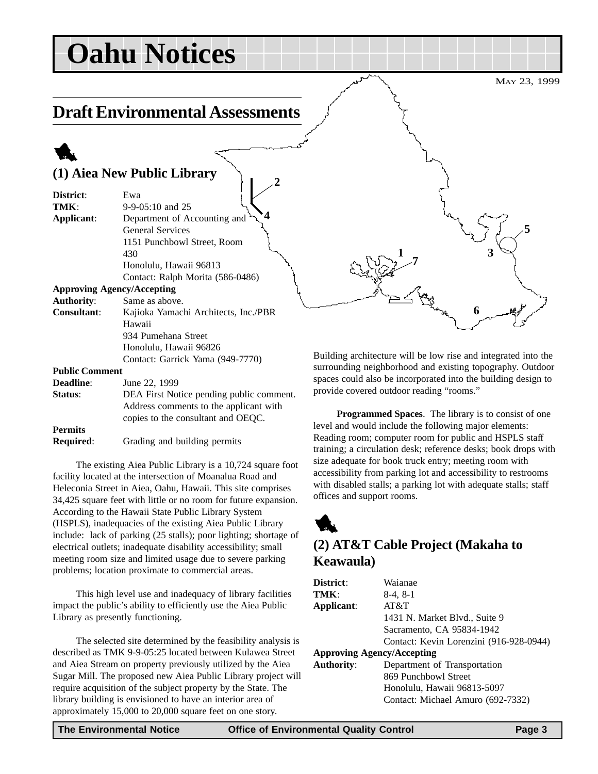## **Oahu Notices**

### **Draft Environmental Assessments**

**2**

### 1

#### **(1) Aiea New Public Library**

| District:                         | Ewa                                      |
|-----------------------------------|------------------------------------------|
| TMK:                              | $9-9-05:10$ and 25                       |
| Applicant:                        | Department of Accounting and             |
|                                   | <b>General Services</b>                  |
|                                   | 1151 Punchbowl Street, Room              |
|                                   | 430                                      |
|                                   | Honolulu, Hawaii 96813                   |
|                                   | Contact: Ralph Morita (586-0486)         |
| <b>Approving Agency/Accepting</b> |                                          |
| <b>Authority:</b>                 | Same as above.                           |
| <b>Consultant:</b>                | Kajioka Yamachi Architects, Inc./PBR     |
|                                   | Hawaii                                   |
|                                   | 934 Pumehana Street                      |
|                                   | Honolulu, Hawaii 96826                   |
|                                   | Contact: Garrick Yama (949-7770)         |
| <b>Public Comment</b>             |                                          |
| <b>Deadline:</b>                  | June 22, 1999                            |
| Status:                           | DEA First Notice pending public comment. |
|                                   | Address comments to the applicant with   |
|                                   | copies to the consultant and OEQC.       |

**Permits**

**Required**: Grading and building permits

The existing Aiea Public Library is a 10,724 square foot facility located at the intersection of Moanalua Road and Heleconia Street in Aiea, Oahu, Hawaii. This site comprises 34,425 square feet with little or no room for future expansion. According to the Hawaii State Public Library System (HSPLS), inadequacies of the existing Aiea Public Library include: lack of parking (25 stalls); poor lighting; shortage of electrical outlets; inadequate disability accessibility; small meeting room size and limited usage due to severe parking problems; location proximate to commercial areas.

This high level use and inadequacy of library facilities impact the public's ability to efficiently use the Aiea Public Library as presently functioning.

The selected site determined by the feasibility analysis is described as TMK 9-9-05:25 located between Kulawea Street and Aiea Stream on property previously utilized by the Aiea Sugar Mill. The proposed new Aiea Public Library project will require acquisition of the subject property by the State. The library building is envisioned to have an interior area of approximately 15,000 to 20,000 square feet on one story.

Building architecture will be low rise and integrated into the surrounding neighborhood and existing topography. Outdoor spaces could also be incorporated into the building design to provide covered outdoor reading "rooms."

**1**

**7**

**Programmed Spaces**. The library is to consist of one level and would include the following major elements: Reading room; computer room for public and HSPLS staff training; a circulation desk; reference desks; book drops with size adequate for book truck entry; meeting room with accessibility from parking lot and accessibility to restrooms with disabled stalls; a parking lot with adequate stalls; staff offices and support rooms.

### 1 **(2) AT&T Cable Project (Makaha to Keawaula)**

| District:                         | Waianae                                 |
|-----------------------------------|-----------------------------------------|
| TMK:                              | $8-4, 8-1$                              |
| Applicant:                        | AT&T                                    |
|                                   | 1431 N. Market Blvd., Suite 9           |
|                                   | Sacramento, CA 95834-1942               |
|                                   | Contact: Kevin Lorenzini (916-928-0944) |
| <b>Approving Agency/Accepting</b> |                                         |
| <b>Authority:</b>                 | Department of Transportation            |
|                                   | 869 Punchbowl Street                    |
|                                   | Honolulu, Hawaii 96813-5097             |
|                                   | Contact: Michael Amuro (692-7332)       |
|                                   |                                         |

MAY 23, 1999

**5**

**3**

**6**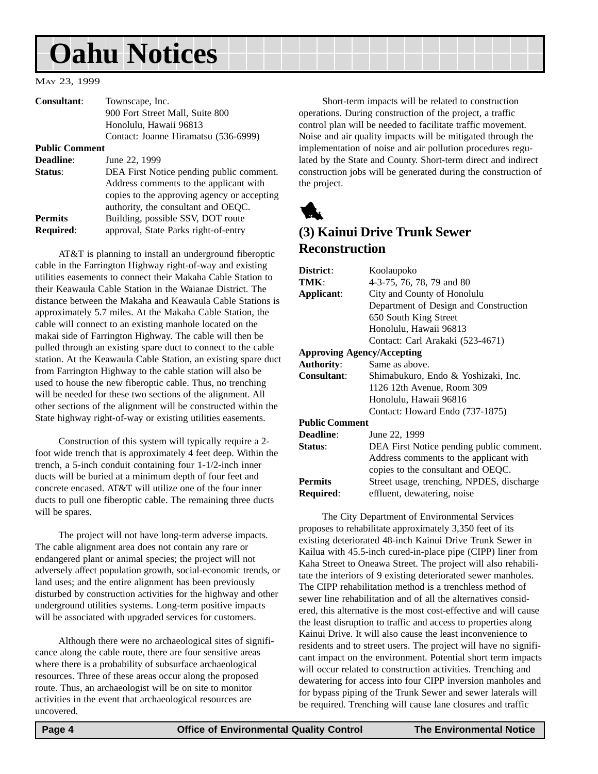## <span id="page-3-0"></span>**Oahu Notices**

#### MAY 23, 1999

| Consultant:                        | Townscape, Inc.<br>900 Fort Street Mall, Suite 800<br>Honolulu, Hawaii 96813                                                                                             |
|------------------------------------|--------------------------------------------------------------------------------------------------------------------------------------------------------------------------|
|                                    | Contact: Joanne Hiramatsu (536-6999)                                                                                                                                     |
| <b>Public Comment</b>              |                                                                                                                                                                          |
| Deadline:                          | June 22, 1999                                                                                                                                                            |
| Status:                            | DEA First Notice pending public comment.<br>Address comments to the applicant with<br>copies to the approving agency or accepting<br>authority, the consultant and OEQC. |
| <b>Permits</b><br><b>Required:</b> | Building, possible SSV, DOT route<br>approval, State Parks right-of-entry                                                                                                |

AT&T is planning to install an underground fiberoptic cable in the Farrington Highway right-of-way and existing utilities easements to connect their Makaha Cable Station to their Keawaula Cable Station in the Waianae District. The distance between the Makaha and Keawaula Cable Stations is approximately 5.7 miles. At the Makaha Cable Station, the cable will connect to an existing manhole located on the makai side of Farrington Highway. The cable will then be pulled through an existing spare duct to connect to the cable station. At the Keawaula Cable Station, an existing spare duct from Farrington Highway to the cable station will also be used to house the new fiberoptic cable. Thus, no trenching will be needed for these two sections of the alignment. All other sections of the alignment will be constructed within the State highway right-of-way or existing utilities easements.

Construction of this system will typically require a 2 foot wide trench that is approximately 4 feet deep. Within the trench, a 5-inch conduit containing four 1-1/2-inch inner ducts will be buried at a minimum depth of four feet and concrete encased. AT&T will utilize one of the four inner ducts to pull one fiberoptic cable. The remaining three ducts will be spares.

The project will not have long-term adverse impacts. The cable alignment area does not contain any rare or endangered plant or animal species; the project will not adversely affect population growth, social-economic trends, or land uses; and the entire alignment has been previously disturbed by construction activities for the highway and other underground utilities systems. Long-term positive impacts will be associated with upgraded services for customers.

Although there were no archaeological sites of significance along the cable route, there are four sensitive areas where there is a probability of subsurface archaeological resources. Three of these areas occur along the proposed route. Thus, an archaeologist will be on site to monitor activities in the event that archaeological resources are uncovered.

Short-term impacts will be related to construction operations. During construction of the project, a traffic control plan will be needed to facilitate traffic movement. Noise and air quality impacts will be mitigated through the implementation of noise and air pollution procedures regulated by the State and County. Short-term direct and indirect construction jobs will be generated during the construction of the project.



#### **(3) Kainui Drive Trunk Sewer Reconstruction**

| District:                         | Koolaupoko                                |
|-----------------------------------|-------------------------------------------|
| TMK:                              | 4-3-75, 76, 78, 79 and 80                 |
| Applicant:                        | City and County of Honolulu               |
|                                   | Department of Design and Construction     |
|                                   | 650 South King Street                     |
|                                   | Honolulu, Hawaii 96813                    |
|                                   | Contact: Carl Arakaki (523-4671)          |
| <b>Approving Agency/Accepting</b> |                                           |
| <b>Authority:</b>                 | Same as above.                            |
| <b>Consultant:</b>                | Shimabukuro, Endo & Yoshizaki, Inc.       |
|                                   | 1126 12th Avenue, Room 309                |
|                                   | Honolulu, Hawaii 96816                    |
|                                   | Contact: Howard Endo (737-1875)           |
| <b>Public Comment</b>             |                                           |
| Deadline:                         | June 22, 1999                             |
| Status:                           | DEA First Notice pending public comment.  |
|                                   | Address comments to the applicant with    |
|                                   | copies to the consultant and OEQC.        |
| <b>Permits</b>                    | Street usage, trenching, NPDES, discharge |
| Required:                         | effluent, dewatering, noise               |
|                                   |                                           |

The City Department of Environmental Services proposes to rehabilitate approximately 3,350 feet of its existing deteriorated 48-inch Kainui Drive Trunk Sewer in Kailua with 45.5-inch cured-in-place pipe (CIPP) liner from Kaha Street to Oneawa Street. The project will also rehabilitate the interiors of 9 existing deteriorated sewer manholes. The CIPP rehabilitation method is a trenchless method of sewer line rehabilitation and of all the alternatives considered, this alternative is the most cost-effective and will cause the least disruption to traffic and access to properties along Kainui Drive. It will also cause the least inconvenience to residents and to street users. The project will have no significant impact on the environment. Potential short term impacts will occur related to construction activities. Trenching and dewatering for access into four CIPP inversion manholes and for bypass piping of the Trunk Sewer and sewer laterals will be required. Trenching will cause lane closures and traffic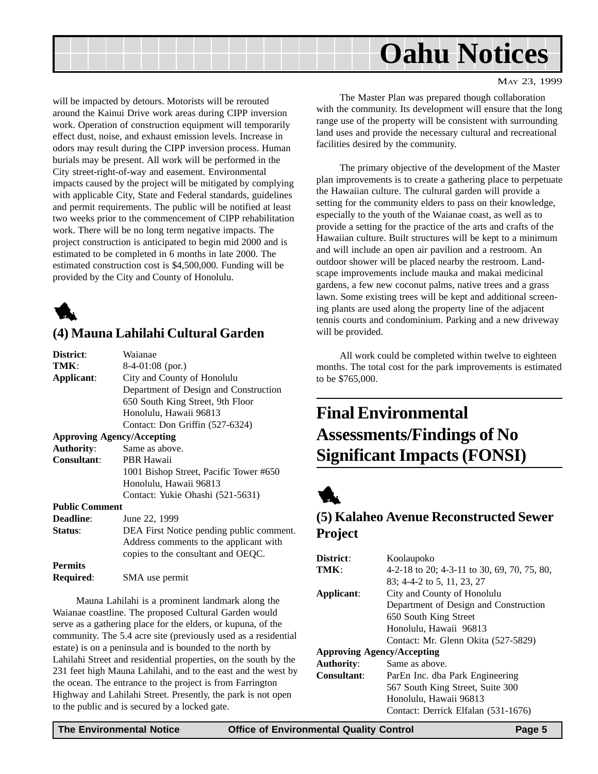<span id="page-4-0"></span>

MAY 23, 1999

will be impacted by detours. Motorists will be rerouted around the Kainui Drive work areas during CIPP inversion work. Operation of construction equipment will temporarily effect dust, noise, and exhaust emission levels. Increase in odors may result during the CIPP inversion process. Human burials may be present. All work will be performed in the City street-right-of-way and easement. Environmental impacts caused by the project will be mitigated by complying with applicable City, State and Federal standards, guidelines and permit requirements. The public will be notified at least two weeks prior to the commencement of CIPP rehabilitation work. There will be no long term negative impacts. The project construction is anticipated to begin mid 2000 and is estimated to be completed in 6 months in late 2000. The estimated construction cost is \$4,500,000. Funding will be provided by the City and County of Honolulu.



#### **(4) Mauna Lahilahi Cultural Garden**

| District:             | Waianae                                  |
|-----------------------|------------------------------------------|
| TMK:                  | $8-4-01:08$ (por.)                       |
| Applicant:            | City and County of Honolulu              |
|                       | Department of Design and Construction    |
|                       | 650 South King Street, 9th Floor         |
|                       | Honolulu, Hawaii 96813                   |
|                       | Contact: Don Griffin (527-6324)          |
|                       | <b>Approving Agency/Accepting</b>        |
| <b>Authority:</b>     | Same as above.                           |
| Consultant:           | PBR Hawaii                               |
|                       | 1001 Bishop Street, Pacific Tower #650   |
|                       | Honolulu, Hawaii 96813                   |
|                       | Contact: Yukie Ohashi (521-5631)         |
| <b>Public Comment</b> |                                          |
| <b>Deadline:</b>      | June 22, 1999                            |
| Status:               | DEA First Notice pending public comment. |
|                       | Address comments to the applicant with   |
|                       | copies to the consultant and OEQC.       |
| <b>Permits</b>        |                                          |
| Required:             | SMA use permit                           |

Mauna Lahilahi is a prominent landmark along the Waianae coastline. The proposed Cultural Garden would serve as a gathering place for the elders, or kupuna, of the community. The 5.4 acre site (previously used as a residential estate) is on a peninsula and is bounded to the north by Lahilahi Street and residential properties, on the south by the 231 feet high Mauna Lahilahi, and to the east and the west by the ocean. The entrance to the project is from Farrington Highway and Lahilahi Street. Presently, the park is not open to the public and is secured by a locked gate.

The Master Plan was prepared though collaboration with the community. Its development will ensure that the long range use of the property will be consistent with surrounding land uses and provide the necessary cultural and recreational facilities desired by the community.

The primary objective of the development of the Master plan improvements is to create a gathering place to perpetuate the Hawaiian culture. The cultural garden will provide a setting for the community elders to pass on their knowledge, especially to the youth of the Waianae coast, as well as to provide a setting for the practice of the arts and crafts of the Hawaiian culture. Built structures will be kept to a minimum and will include an open air pavilion and a restroom. An outdoor shower will be placed nearby the restroom. Landscape improvements include mauka and makai medicinal gardens, a few new coconut palms, native trees and a grass lawn. Some existing trees will be kept and additional screening plants are used along the property line of the adjacent tennis courts and condominium. Parking and a new driveway will be provided.

All work could be completed within twelve to eighteen months. The total cost for the park improvements is estimated to be \$765,000.

### **Final Environmental Assessments/Findings of No Significant Impacts (FONSI)**

### 1

#### **(5) Kalaheo Avenue Reconstructed Sewer Project**

| District:                         | Koolaupoko                                  |
|-----------------------------------|---------------------------------------------|
| TMK:                              | 4-2-18 to 20; 4-3-11 to 30, 69, 70, 75, 80, |
|                                   | 83; 4-4-2 to 5, 11, 23, 27                  |
| Applicant:                        | City and County of Honolulu                 |
|                                   | Department of Design and Construction       |
|                                   | 650 South King Street                       |
|                                   | Honolulu, Hawaii 96813                      |
|                                   | Contact: Mr. Glenn Okita (527-5829)         |
| <b>Approving Agency/Accepting</b> |                                             |
| <b>Authority:</b>                 | Same as above.                              |
| Consultant:                       | ParEn Inc. dba Park Engineering             |
|                                   | 567 South King Street, Suite 300            |
|                                   | Honolulu, Hawaii 96813                      |
|                                   | Contact: Derrick Elfalan (531-1676)         |
|                                   |                                             |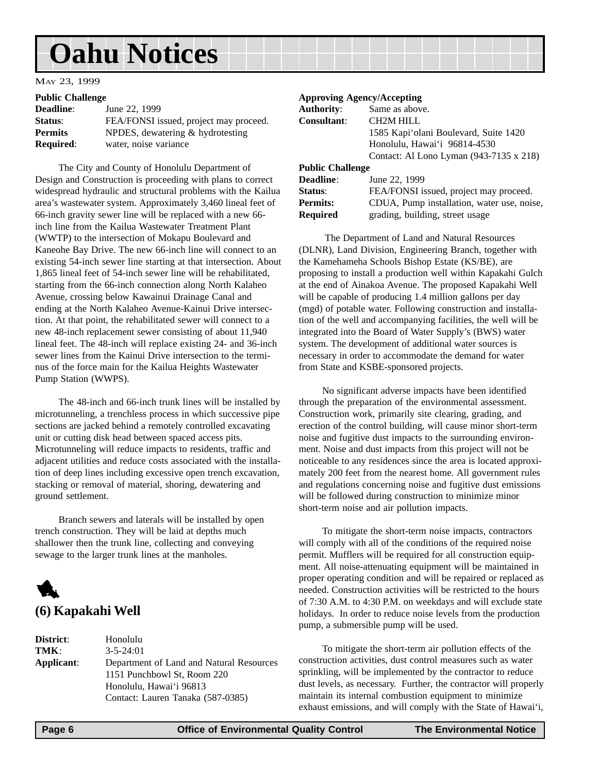## <span id="page-5-0"></span>**Oahu Notices**

#### MAY 23, 1999

#### **Public Challenge**

| $-$ 0.000 $-$ 0.0000 $-$ 0.000 $-$ |                                        |
|------------------------------------|----------------------------------------|
| <b>Deadline:</b>                   | June 22, 1999                          |
| Status:                            | FEA/FONSI issued, project may proceed. |
| <b>Permits</b>                     | NPDES, dewatering & hydrotesting       |
| <b>Required:</b>                   | water, noise variance                  |

The City and County of Honolulu Department of Design and Construction is proceeding with plans to correct widespread hydraulic and structural problems with the Kailua area's wastewater system. Approximately 3,460 lineal feet of 66-inch gravity sewer line will be replaced with a new 66 inch line from the Kailua Wastewater Treatment Plant (WWTP) to the intersection of Mokapu Boulevard and Kaneohe Bay Drive. The new 66-inch line will connect to an existing 54-inch sewer line starting at that intersection. About 1,865 lineal feet of 54-inch sewer line will be rehabilitated, starting from the 66-inch connection along North Kalaheo Avenue, crossing below Kawainui Drainage Canal and ending at the North Kalaheo Avenue-Kainui Drive intersection. At that point, the rehabilitated sewer will connect to a new 48-inch replacement sewer consisting of about 11,940 lineal feet. The 48-inch will replace existing 24- and 36-inch sewer lines from the Kainui Drive intersection to the terminus of the force main for the Kailua Heights Wastewater Pump Station (WWPS).

The 48-inch and 66-inch trunk lines will be installed by microtunneling, a trenchless process in which successive pipe sections are jacked behind a remotely controlled excavating unit or cutting disk head between spaced access pits. Microtunneling will reduce impacts to residents, traffic and adjacent utilities and reduce costs associated with the installation of deep lines including excessive open trench excavation, stacking or removal of material, shoring, dewatering and ground settlement.

Branch sewers and laterals will be installed by open trench construction. They will be laid at depths much shallower then the trunk line, collecting and conveying sewage to the larger trunk lines at the manholes.



**District**: Honolulu **TMK**: 3-5-24:01 **Applicant**: Department of Land and Natural Resources 1151 Punchbowl St, Room 220 Honolulu, Hawai'i 96813 Contact: Lauren Tanaka (587-0385)

#### **Approving Agency/Accepting**

| <b>Authority:</b>       | Same as above.                          |
|-------------------------|-----------------------------------------|
| <b>Consultant:</b>      | <b>CH2M HILL</b>                        |
|                         | 1585 Kapi'olani Boulevard, Suite 1420   |
|                         | Honolulu, Hawai'i 96814-4530            |
|                         | Contact: Al Lono Lyman (943-7135 x 218) |
| <b>Public Challenge</b> |                                         |
| <b>Deadline:</b>        | June 22, 1999                           |
| Status:                 | FEA/FONSI issued, project may proceed.  |
|                         |                                         |

**Permits:** CDUA, Pump installation, water use, noise,

**Required** grading, building, street usage

 The Department of Land and Natural Resources (DLNR), Land Division, Engineering Branch, together with the Kamehameha Schools Bishop Estate (KS/BE), are proposing to install a production well within Kapakahi Gulch at the end of Ainakoa Avenue. The proposed Kapakahi Well will be capable of producing 1.4 million gallons per day (mgd) of potable water. Following construction and installation of the well and accompanying facilities, the well will be integrated into the Board of Water Supply's (BWS) water system. The development of additional water sources is necessary in order to accommodate the demand for water from State and KSBE-sponsored projects.

No significant adverse impacts have been identified through the preparation of the environmental assessment. Construction work, primarily site clearing, grading, and erection of the control building, will cause minor short-term noise and fugitive dust impacts to the surrounding environment. Noise and dust impacts from this project will not be noticeable to any residences since the area is located approximately 200 feet from the nearest home. All government rules and regulations concerning noise and fugitive dust emissions will be followed during construction to minimize minor short-term noise and air pollution impacts.

To mitigate the short-term noise impacts, contractors will comply with all of the conditions of the required noise permit. Mufflers will be required for all construction equipment. All noise-attenuating equipment will be maintained in proper operating condition and will be repaired or replaced as needed. Construction activities will be restricted to the hours of 7:30 A.M. to 4:30 P.M. on weekdays and will exclude state holidays. In order to reduce noise levels from the production pump, a submersible pump will be used.

To mitigate the short-term air pollution effects of the construction activities, dust control measures such as water sprinkling, will be implemented by the contractor to reduce dust levels, as necessary. Further, the contractor will properly maintain its internal combustion equipment to minimize exhaust emissions, and will comply with the State of Hawai'i,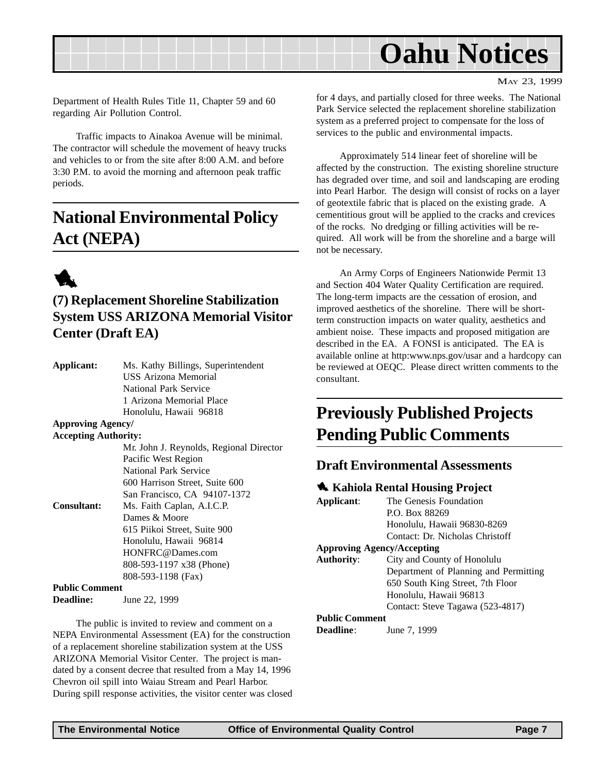<span id="page-6-0"></span>

MAY 23, 1999

Department of Health Rules Title 11, Chapter 59 and 60 regarding Air Pollution Control.

Traffic impacts to Ainakoa Avenue will be minimal. The contractor will schedule the movement of heavy trucks and vehicles to or from the site after 8:00 A.M. and before 3:30 P.M. to avoid the morning and afternoon peak traffic periods.

### **National Environmental Policy Act (NEPA)**



#### **(7) Replacement Shoreline Stabilization System USS ARIZONA Memorial Visitor Center (Draft EA)**

| Applicant:                  | Ms. Kathy Billings, Superintendent      |
|-----------------------------|-----------------------------------------|
|                             | <b>USS Arizona Memorial</b>             |
|                             | National Park Service                   |
|                             | 1 Arizona Memorial Place                |
|                             | Honolulu, Hawaii 96818                  |
| <b>Approving Agency/</b>    |                                         |
| <b>Accepting Authority:</b> |                                         |
|                             | Mr. John J. Reynolds, Regional Director |
|                             | Pacific West Region                     |
|                             | National Park Service                   |
|                             | 600 Harrison Street, Suite 600          |
|                             | San Francisco, CA 94107-1372            |
| <b>Consultant:</b>          | Ms. Faith Caplan, A.I.C.P.              |
|                             | Dames & Moore                           |
|                             | 615 Piikoi Street, Suite 900            |
|                             | Honolulu, Hawaii 96814                  |
|                             | HONFRC@Dames.com                        |
|                             | 808-593-1197 x38 (Phone)                |
|                             | 808-593-1198 (Fax)                      |
| <b>Public Comment</b>       |                                         |
| Deadline:                   | June 22, 1999                           |

The public is invited to review and comment on a NEPA Environmental Assessment (EA) for the construction of a replacement shoreline stabilization system at the USS ARIZONA Memorial Visitor Center. The project is mandated by a consent decree that resulted from a May 14, 1996 Chevron oil spill into Waiau Stream and Pearl Harbor. During spill response activities, the visitor center was closed for 4 days, and partially closed for three weeks. The National Park Service selected the replacement shoreline stabilization system as a preferred project to compensate for the loss of services to the public and environmental impacts.

Approximately 514 linear feet of shoreline will be affected by the construction. The existing shoreline structure has degraded over time, and soil and landscaping are eroding into Pearl Harbor. The design will consist of rocks on a layer of geotextile fabric that is placed on the existing grade. A cementitious grout will be applied to the cracks and crevices of the rocks. No dredging or filling activities will be required. All work will be from the shoreline and a barge will not be necessary.

An Army Corps of Engineers Nationwide Permit 13 and Section 404 Water Quality Certification are required. The long-term impacts are the cessation of erosion, and improved aesthetics of the shoreline. There will be shortterm construction impacts on water quality, aesthetics and ambient noise. These impacts and proposed mitigation are described in the EA. A FONSI is anticipated. The EA is available online at http:www.nps.gov/usar and a hardcopy can be reviewed at OEQC. Please direct written comments to the consultant.

### **Previously Published Projects Pending Public Comments**

#### **Draft Environmental Assessments**

#### **1** Kahiola Rental Housing Project

| Applicant:            | The Genesis Foundation                |
|-----------------------|---------------------------------------|
|                       | P.O. Box 88269                        |
|                       | Honolulu, Hawaii 96830-8269           |
|                       | Contact: Dr. Nicholas Christoff       |
|                       | <b>Approving Agency/Accepting</b>     |
| <b>Authority:</b>     | City and County of Honolulu           |
|                       | Department of Planning and Permitting |
|                       | 650 South King Street, 7th Floor      |
|                       | Honolulu, Hawaii 96813                |
|                       | Contact: Steve Tagawa (523-4817)      |
| <b>Public Comment</b> |                                       |
| <b>Deadline:</b>      | June 7, 1999                          |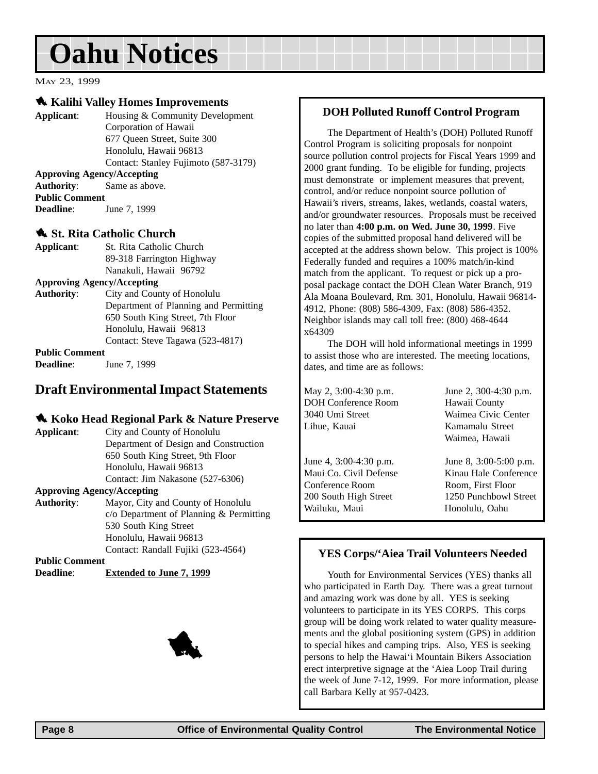## <span id="page-7-0"></span>**Oahu Notices**

MAY 23, 1999

#### 1 **Kalihi Valley Homes Improvements**

**Applicant**: Housing & Community Development Corporation of Hawaii 677 Queen Street, Suite 300 Honolulu, Hawaii 96813 Contact: Stanley Fujimoto (587-3179) **Approving Agency/Accepting Authority**: Same as above. **Public Comment Deadline:** June 7, 1999

#### **1. St. Rita Catholic Church**

| Applicant:            | St. Rita Catholic Church              |
|-----------------------|---------------------------------------|
|                       | 89-318 Farrington Highway             |
|                       | Nanakuli, Hawaii 96792                |
|                       | <b>Approving Agency/Accepting</b>     |
| <b>Authority:</b>     | City and County of Honolulu           |
|                       | Department of Planning and Permitting |
|                       | 650 South King Street, 7th Floor      |
|                       | Honolulu, Hawaii 96813                |
|                       | Contact: Steve Tagawa (523-4817)      |
| <b>Public Comment</b> |                                       |
| <b>Deadline:</b>      | June 7, 1999                          |

#### **Draft Environmental Impact Statements**

#### **1. Koko Head Regional Park & Nature Preserve**

| Applicant: | City and County of Honolulu           |
|------------|---------------------------------------|
|            | Department of Design and Construction |
|            | 650 South King Street, 9th Floor      |
|            | Honolulu, Hawaii 96813                |
|            | Contact: Jim Nakasone (527-6306)      |
|            |                                       |

#### **Approving Agency/Accepting**

**Authority**: Mayor, City and County of Honolulu c/o Department of Planning & Permitting 530 South King Street Honolulu, Hawaii 96813 Contact: Randall Fujiki (523-4564)

**Public Comment Deadline**: **Extended to June 7, 1999**



#### **DOH Polluted Runoff Control Program**

The Department of Health's (DOH) Polluted Runoff Control Program is soliciting proposals for nonpoint source pollution control projects for Fiscal Years 1999 and 2000 grant funding. To be eligible for funding, projects must demonstrate or implement measures that prevent, control, and/or reduce nonpoint source pollution of Hawaii's rivers, streams, lakes, wetlands, coastal waters, and/or groundwater resources. Proposals must be received no later than **4:00 p.m. on Wed. June 30, 1999**. Five copies of the submitted proposal hand delivered will be accepted at the address shown below. This project is 100% Federally funded and requires a 100% match/in-kind match from the applicant. To request or pick up a proposal package contact the DOH Clean Water Branch, 919 Ala Moana Boulevard, Rm. 301, Honolulu, Hawaii 96814- 4912, Phone: (808) 586-4309, Fax: (808) 586-4352. Neighbor islands may call toll free: (800) 468-4644 x64309

The DOH will hold informational meetings in 1999 to assist those who are interested. The meeting locations, dates, and time are as follows:

May 2, 3:00-4:30 p.m. June 2, 300-4:30 p.m. DOH Conference Room Hawaii County 3040 Umi Street Waimea Civic Center Lihue, Kauai Kamamalu Street

June 4, 3:00-4:30 p.m. June 8, 3:00-5:00 p.m. Conference Room Room, First Floor Wailuku, Maui **Honolulu, Uman** 

Waimea, Hawaii

Maui Co. Civil Defense Kinau Hale Conference 200 South High Street 1250 Punchbowl Street

#### **YES Corps/'Aiea Trail Volunteers Needed**

Youth for Environmental Services (YES) thanks all who participated in Earth Day. There was a great turnout and amazing work was done by all. YES is seeking volunteers to participate in its YES CORPS. This corps group will be doing work related to water quality measurements and the global positioning system (GPS) in addition to special hikes and camping trips. Also, YES is seeking persons to help the Hawai'i Mountain Bikers Association erect interpretive signage at the 'Aiea Loop Trail during the week of June 7-12, 1999. For more information, please call Barbara Kelly at 957-0423.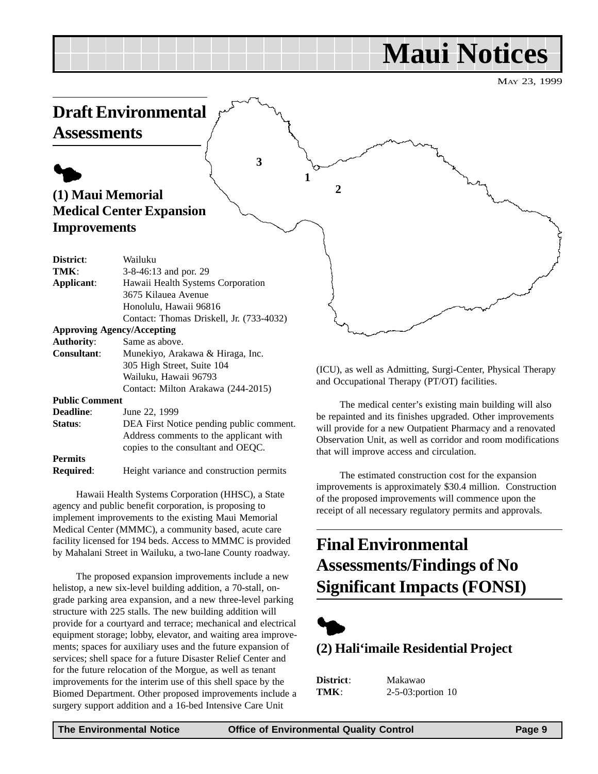## **Maui Notices**

MAY 23, 1999

<span id="page-8-0"></span>

Hawaii Health Systems Corporation (HHSC), a State agency and public benefit corporation, is proposing to implement improvements to the existing Maui Memorial Medical Center (MMMC), a community based, acute care facility licensed for 194 beds. Access to MMMC is provided by Mahalani Street in Wailuku, a two-lane County roadway.

**Required**: Height variance and construction permits

**Status**: DEA First Notice pending public comment.

Contact: Milton Arakawa (244-2015)

Address comments to the applicant with copies to the consultant and OEQC.

The proposed expansion improvements include a new helistop, a new six-level building addition, a 70-stall, ongrade parking area expansion, and a new three-level parking structure with 225 stalls. The new building addition will provide for a courtyard and terrace; mechanical and electrical equipment storage; lobby, elevator, and waiting area improvements; spaces for auxiliary uses and the future expansion of services; shell space for a future Disaster Relief Center and for the future relocation of the Morgue, as well as tenant improvements for the interim use of this shell space by the Biomed Department. Other proposed improvements include a surgery support addition and a 16-bed Intensive Care Unit

and Occupational Therapy (PT/OT) facilities.

The medical center's existing main building will also be repainted and its finishes upgraded. Other improvements will provide for a new Outpatient Pharmacy and a renovated Observation Unit, as well as corridor and room modifications that will improve access and circulation.

The estimated construction cost for the expansion improvements is approximately \$30.4 million. Construction of the proposed improvements will commence upon the receipt of all necessary regulatory permits and approvals.

### **Final Environmental Assessments/Findings of No Significant Impacts (FONSI)**



#### **(2) Hali'imaile Residential Project**

| District: | Maka        |
|-----------|-------------|
| TMK:      | $2 - 5 - 0$ |

**District**: Makawao **The** 3:portion 10

**Public Comment**

**Permits**

**Deadline**: June 22, 1999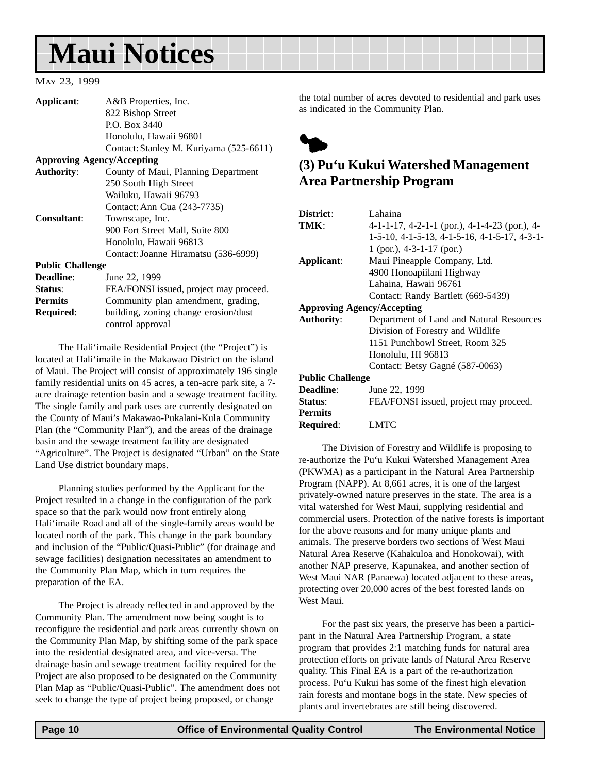## <span id="page-9-0"></span>**Maui Notices**

#### MAY 23, 1999

| Applicant:                        | A&B Properties, Inc.                    |  |
|-----------------------------------|-----------------------------------------|--|
|                                   | 822 Bishop Street                       |  |
|                                   | P.O. Box 3440                           |  |
|                                   | Honolulu, Hawaii 96801                  |  |
|                                   | Contact: Stanley M. Kuriyama (525-6611) |  |
| <b>Approving Agency/Accepting</b> |                                         |  |
| <b>Authority:</b>                 | County of Maui, Planning Department     |  |
|                                   | 250 South High Street                   |  |
|                                   | Wailuku, Hawaii 96793                   |  |
|                                   | Contact: Ann Cua (243-7735)             |  |
| <b>Consultant:</b>                | Townscape, Inc.                         |  |
|                                   | 900 Fort Street Mall, Suite 800         |  |
|                                   | Honolulu, Hawaii 96813                  |  |
|                                   | Contact: Joanne Hiramatsu (536-6999)    |  |
| <b>Public Challenge</b>           |                                         |  |
| Deadline:                         | June 22, 1999                           |  |
| Status:                           | FEA/FONSI issued, project may proceed.  |  |
| <b>Permits</b>                    | Community plan amendment, grading,      |  |
| <b>Required:</b>                  | building, zoning change erosion/dust    |  |
|                                   | control approval                        |  |

The Hali'imaile Residential Project (the "Project") is located at Hali'imaile in the Makawao District on the island of Maui. The Project will consist of approximately 196 single family residential units on 45 acres, a ten-acre park site, a 7 acre drainage retention basin and a sewage treatment facility. The single family and park uses are currently designated on the County of Maui's Makawao-Pukalani-Kula Community Plan (the "Community Plan"), and the areas of the drainage basin and the sewage treatment facility are designated "Agriculture". The Project is designated "Urban" on the State Land Use district boundary maps.

Planning studies performed by the Applicant for the Project resulted in a change in the configuration of the park space so that the park would now front entirely along Hali'imaile Road and all of the single-family areas would be located north of the park. This change in the park boundary and inclusion of the "Public/Quasi-Public" (for drainage and sewage facilities) designation necessitates an amendment to the Community Plan Map, which in turn requires the preparation of the EA.

The Project is already reflected in and approved by the Community Plan. The amendment now being sought is to reconfigure the residential and park areas currently shown on the Community Plan Map, by shifting some of the park space into the residential designated area, and vice-versa. The drainage basin and sewage treatment facility required for the Project are also proposed to be designated on the Community Plan Map as "Public/Quasi-Public". The amendment does not seek to change the type of project being proposed, or change

the total number of acres devoted to residential and park uses as indicated in the Community Plan.



#### **(3) Pu'u Kukui Watershed Management Area Partnership Program**

| District:                         | Lahaina                                                |  |
|-----------------------------------|--------------------------------------------------------|--|
| TMK:                              | $4-1-1-17$ , $4-2-1-1$ (por.), $4-1-4-23$ (por.), $4-$ |  |
|                                   | 1-5-10, 4-1-5-13, 4-1-5-16, 4-1-5-17, 4-3-1-           |  |
|                                   | 1 (por.), $4-3-1-17$ (por.)                            |  |
| Applicant:                        | Maui Pineapple Company, Ltd.                           |  |
|                                   | 4900 Honoapiilani Highway                              |  |
|                                   | Lahaina, Hawaii 96761                                  |  |
|                                   | Contact: Randy Bartlett (669-5439)                     |  |
| <b>Approving Agency/Accepting</b> |                                                        |  |
| <b>Authority:</b>                 | Department of Land and Natural Resources               |  |
|                                   | Division of Forestry and Wildlife                      |  |
|                                   | 1151 Punchbowl Street, Room 325                        |  |
|                                   | Honolulu, HI 96813                                     |  |
|                                   | Contact: Betsy Gagné (587-0063)                        |  |
| <b>Public Challenge</b>           |                                                        |  |
| Deadline:                         | June 22, 1999                                          |  |
| Status:                           | FEA/FONSI issued, project may proceed.                 |  |
| <b>Permits</b>                    |                                                        |  |
| Required:                         | LMTC                                                   |  |
|                                   |                                                        |  |

The Division of Forestry and Wildlife is proposing to re-authorize the Pu'u Kukui Watershed Management Area (PKWMA) as a participant in the Natural Area Partnership Program (NAPP). At 8,661 acres, it is one of the largest privately-owned nature preserves in the state. The area is a vital watershed for West Maui, supplying residential and commercial users. Protection of the native forests is important for the above reasons and for many unique plants and animals. The preserve borders two sections of West Maui Natural Area Reserve (Kahakuloa and Honokowai), with another NAP preserve, Kapunakea, and another section of West Maui NAR (Panaewa) located adjacent to these areas, protecting over 20,000 acres of the best forested lands on West Maui.

For the past six years, the preserve has been a participant in the Natural Area Partnership Program, a state program that provides 2:1 matching funds for natural area protection efforts on private lands of Natural Area Reserve quality. This Final EA is a part of the re-authorization process. Pu'u Kukui has some of the finest high elevation rain forests and montane bogs in the state. New species of plants and invertebrates are still being discovered.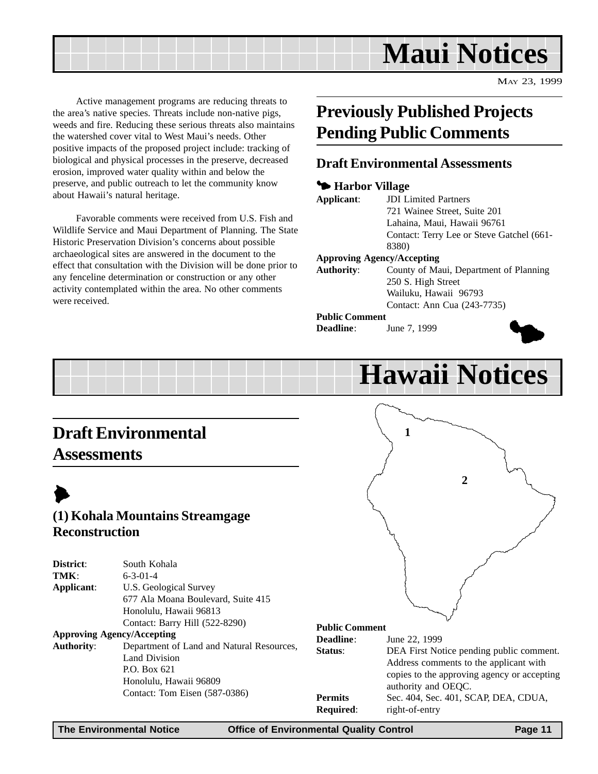### **Maui Notices**

MAY 23, 1999

<span id="page-10-0"></span>Active management programs are reducing threats to the area's native species. Threats include non-native pigs, weeds and fire. Reducing these serious threats also maintains the watershed cover vital to West Maui's needs. Other positive impacts of the proposed project include: tracking of biological and physical processes in the preserve, decreased erosion, improved water quality within and below the preserve, and public outreach to let the community know about Hawaii's natural heritage.

Favorable comments were received from U.S. Fish and Wildlife Service and Maui Department of Planning. The State Historic Preservation Division's concerns about possible archaeological sites are answered in the document to the effect that consultation with the Division will be done prior to any fenceline determination or construction or any other activity contemplated within the area. No other comments were received.

### **Previously Published Projects Pending Public Comments**

#### **Draft Environmental Assessments**

#### 3 **Harbor Village**

| Applicant:                        | <b>JDI</b> Limited Partners               |
|-----------------------------------|-------------------------------------------|
|                                   | 721 Wainee Street, Suite 201              |
|                                   | Lahaina, Maui, Hawaii 96761               |
|                                   | Contact: Terry Lee or Steve Gatchel (661- |
|                                   | 8380)                                     |
| <b>Approving Agency/Accepting</b> |                                           |
| <b>Authority:</b>                 | County of Maui, Department of Planning    |
|                                   | 250 S. High Street                        |
|                                   | Wailuku, Hawaii 96793                     |
|                                   | Contact: Ann Cua (243-7735)               |
| <b>Public Comment</b>             |                                           |
|                                   |                                           |

**Deadline**: June 7, 1999



## **Hawaii Notices**

### **Draft Environmental Assessments**

## $\blacktriangleright$

#### **(1) Kohala Mountains Streamgage Reconstruction**

| District:         | South Kohala                              |
|-------------------|-------------------------------------------|
| TMK:              | $6 - 3 - 01 - 4$                          |
| Applicant:        | U.S. Geological Survey                    |
|                   | 677 Ala Moana Boulevard, Suite 415        |
|                   | Honolulu, Hawaii 96813                    |
|                   | Contact: Barry Hill (522-8290)            |
|                   | <b>Approving Agency/Accepting</b>         |
| <b>Authority:</b> | Department of Land and Natural Resources, |
|                   | Land Division                             |
|                   | P.O. Box 621                              |

Honolulu, Hawaii 96809 Contact: Tom Eisen (587-0386)



#### **Public Comment**

| <b>Deadline:</b> | June 22, 1999                               |
|------------------|---------------------------------------------|
| Status:          | DEA First Notice pending public comment.    |
|                  | Address comments to the applicant with      |
|                  | copies to the approving agency or accepting |
|                  | authority and OEQC.                         |
| <b>Permits</b>   | Sec. 404, Sec. 401, SCAP, DEA, CDUA,        |
| <b>Required:</b> | right-of-entry                              |
|                  |                                             |

**The Environmental Notice Office of Environmental Quality Control Page 11**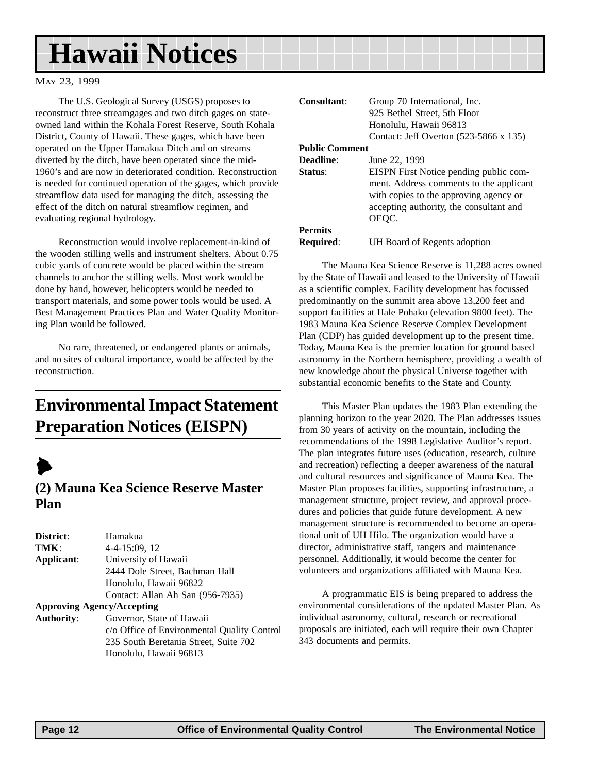### <span id="page-11-0"></span>**Hawaii Notices**

#### MAY 23, 1999

The U.S. Geological Survey (USGS) proposes to reconstruct three streamgages and two ditch gages on stateowned land within the Kohala Forest Reserve, South Kohala District, County of Hawaii. These gages, which have been operated on the Upper Hamakua Ditch and on streams diverted by the ditch, have been operated since the mid-1960's and are now in deteriorated condition. Reconstruction is needed for continued operation of the gages, which provide streamflow data used for managing the ditch, assessing the effect of the ditch on natural streamflow regimen, and evaluating regional hydrology.

Reconstruction would involve replacement-in-kind of the wooden stilling wells and instrument shelters. About 0.75 cubic yards of concrete would be placed within the stream channels to anchor the stilling wells. Most work would be done by hand, however, helicopters would be needed to transport materials, and some power tools would be used. A Best Management Practices Plan and Water Quality Monitoring Plan would be followed.

No rare, threatened, or endangered plants or animals, and no sites of cultural importance, would be affected by the reconstruction.

### **Environmental Impact Statement Preparation Notices (EISPN)**



#### **(2) Mauna Kea Science Reserve Master Plan**

| Hamakua                                     |
|---------------------------------------------|
|                                             |
| 4-4-15:09, 12                               |
| University of Hawaii                        |
| 2444 Dole Street, Bachman Hall              |
| Honolulu, Hawaii 96822                      |
| Contact: Allan Ah San (956-7935)            |
| <b>Approving Agency/Accepting</b>           |
| Governor, State of Hawaii                   |
| c/o Office of Environmental Quality Control |
| 235 South Beretania Street, Suite 702       |
|                                             |

Honolulu, Hawaii 96813

| <b>Consultant:</b>    | Group 70 International, Inc.<br>925 Bethel Street, 5th Floor<br>Honolulu, Hawaii 96813<br>Contact: Jeff Overton (523-5866 x 135)                                                |
|-----------------------|---------------------------------------------------------------------------------------------------------------------------------------------------------------------------------|
| <b>Public Comment</b> |                                                                                                                                                                                 |
| Deadline:             | June 22, 1999                                                                                                                                                                   |
| Status:               | EISPN First Notice pending public com-<br>ment. Address comments to the applicant<br>with copies to the approving agency or<br>accepting authority, the consultant and<br>OEOC. |
| <b>Permits</b>        |                                                                                                                                                                                 |
| <b>Required:</b>      | UH Board of Regents adoption                                                                                                                                                    |

The Mauna Kea Science Reserve is 11,288 acres owned by the State of Hawaii and leased to the University of Hawaii as a scientific complex. Facility development has focussed predominantly on the summit area above 13,200 feet and support facilities at Hale Pohaku (elevation 9800 feet). The 1983 Mauna Kea Science Reserve Complex Development Plan (CDP) has guided development up to the present time. Today, Mauna Kea is the premier location for ground based astronomy in the Northern hemisphere, providing a wealth of new knowledge about the physical Universe together with substantial economic benefits to the State and County.

This Master Plan updates the 1983 Plan extending the planning horizon to the year 2020. The Plan addresses issues from 30 years of activity on the mountain, including the recommendations of the 1998 Legislative Auditor's report. The plan integrates future uses (education, research, culture and recreation) reflecting a deeper awareness of the natural and cultural resources and significance of Mauna Kea. The Master Plan proposes facilities, supporting infrastructure, a management structure, project review, and approval procedures and policies that guide future development. A new management structure is recommended to become an operational unit of UH Hilo. The organization would have a director, administrative staff, rangers and maintenance personnel. Additionally, it would become the center for volunteers and organizations affiliated with Mauna Kea.

A programmatic EIS is being prepared to address the environmental considerations of the updated Master Plan. As individual astronomy, cultural, research or recreational proposals are initiated, each will require their own Chapter 343 documents and permits.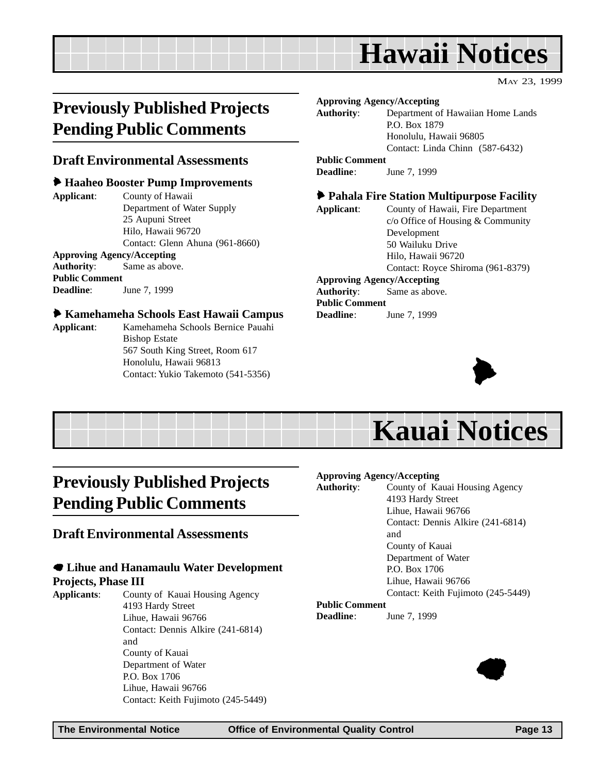### **Hawaii Notices**

MAY 23, 1999

### <span id="page-12-0"></span>**Previously Published Projects Pending Public Comments**

#### **Draft Environmental Assessments**

#### 6 **Haaheo Booster Pump Improvements**

**Applicant**: County of Hawaii Department of Water Supply 25 Aupuni Street Hilo, Hawaii 96720 Contact: Glenn Ahuna (961-8660)

**Approving Agency/Accepting Authority**: Same as above. **Public Comment Deadline**: June 7, 1999

#### 6 **Kamehameha Schools East Hawaii Campus**

**Applicant**: Kamehameha Schools Bernice Pauahi Bishop Estate 567 South King Street, Room 617 Honolulu, Hawaii 96813 Contact: Yukio Takemoto (541-5356)

**Approving Agency/Accepting Authority**: Department of Hawaiian Home Lands P.O. Box 1879 Honolulu, Hawaii 96805 Contact: Linda Chinn (587-6432) **Public Comment Deadline**: June 7, 1999 6 **Pahala Fire Station Multipurpose Facility Applicant**: County of Hawaii, Fire Department c/o Office of Housing & Community Development 50 Wailuku Drive

Hilo, Hawaii 96720 Contact: Royce Shiroma (961-8379)

#### **Approving Agency/Accepting**

**Authority**: Same as above. **Public Comment Deadline**: June 7, 1999



## **Kauai Notices**

### **Previously Published Projects Pending Public Comments**

#### **Draft Environmental Assessments**

### 7 **Lihue and Hanamaulu Water Development**

**Projects, Phase III**

**Applicants**: County of Kauai Housing Agency 4193 Hardy Street Lihue, Hawaii 96766 Contact: Dennis Alkire (241-6814) and County of Kauai Department of Water P.O. Box 1706 Lihue, Hawaii 96766 Contact: Keith Fujimoto (245-5449)

#### **Approving Agency/Accepting**

| <b>Authority:</b>     | County of Kauai Housing Agency     |
|-----------------------|------------------------------------|
|                       | 4193 Hardy Street                  |
|                       | Lihue, Hawaii 96766                |
|                       | Contact: Dennis Alkire (241-6814)  |
|                       | and                                |
|                       | County of Kauai                    |
|                       | Department of Water                |
|                       | P.O. Box 1706                      |
|                       | Lihue, Hawaii 96766                |
|                       | Contact: Keith Fujimoto (245-5449) |
| <b>Public Comment</b> |                                    |
| <b>Deadline:</b>      | June 7, 1999                       |

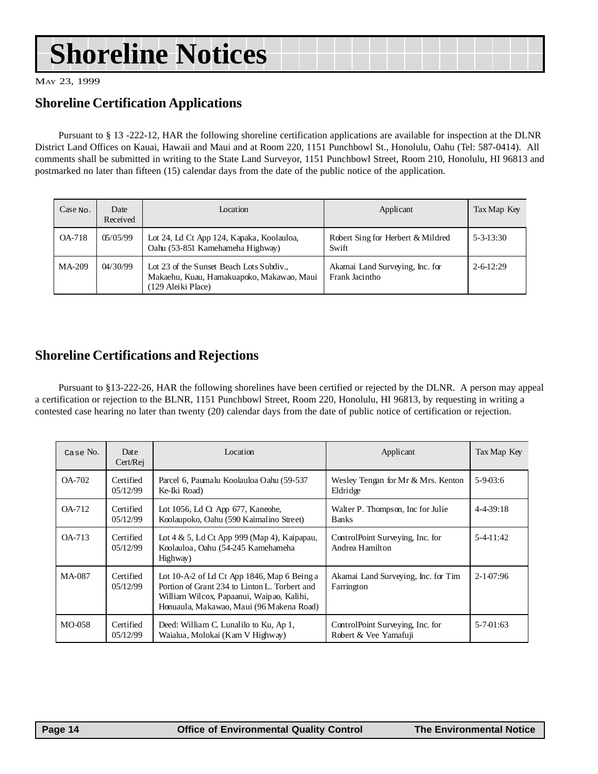## **Shoreline Notices**

MAY 23, 1999

#### **Shoreline Certification Applications**

Pursuant to § 13 -222-12, HAR the following shoreline certification applications are available for inspection at the DLNR District Land Offices on Kauai, Hawaii and Maui and at Room 220, 1151 Punchbowl St., Honolulu, Oahu (Tel: 587-0414). All comments shall be submitted in writing to the State Land Surveyor, 1151 Punchbowl Street, Room 210, Honolulu, HI 96813 and postmarked no later than fifteen (15) calendar days from the date of the public notice of the application.

| $Case$ No. | Date<br>Received | Location                                                                                                  | Applicant                                         | Tax Map Key           |
|------------|------------------|-----------------------------------------------------------------------------------------------------------|---------------------------------------------------|-----------------------|
| OA-718     | 05/05/99         | Lot 24, Ld Ct App 124, Kapaka, Koolauloa,<br>Oahu (53-851 Kamehameha Highway)                             | Robert Sing for Herbert & Mildred<br>Swift        | $5 - 3 - 13:30$       |
| $MA-209$   | 04/30/99         | Lot 23 of the Sunset Beach Lots Subdiv<br>Makaehu, Kuau, Hamakuapoko, Makawao, Maui<br>(129 Aleiki Place) | Akamai Land Surveying, Inc. for<br>Frank Jacintho | $2 - 6 - 12 \cdot 29$ |

#### **Shoreline Certifications and Rejections**

Pursuant to §13-222-26, HAR the following shorelines have been certified or rejected by the DLNR. A person may appeal a certification or rejection to the BLNR, 1151 Punchbowl Street, Room 220, Honolulu, HI 96813, by requesting in writing a contested case hearing no later than twenty (20) calendar days from the date of public notice of certification or rejection.

| Case No.      | Date<br>Cert/Rej       | Location                                                                                                                                                                              | Applicant                                                 | Tax Map Key       |
|---------------|------------------------|---------------------------------------------------------------------------------------------------------------------------------------------------------------------------------------|-----------------------------------------------------------|-------------------|
| <b>OA-702</b> | Certified<br>05/12/99  | Parcel 6, Paumalu Koolauloa Oahu (59-537<br>Ke-Iki Road)                                                                                                                              | Wesley Tengan for Mr & Mrs. Kenton<br>Eldridge            | $5 - 9 - 03:6$    |
| <b>OA-712</b> | Certified<br>05/12/99  | Lot 1056, Ld $\alpha$ App 677, Kaneohe,<br>Koolaupoko, Oahu (590 Kaimalino Street)                                                                                                    | Walter P. Thompson, Inc for Julie<br><b>Banks</b>         | $4 - 4 - 39$ : 18 |
| OA-713        | Certified<br>05/12/99  | Lot $4 \& 5$ , Ld Ct App 999 (Map 4), Kaipapau,<br>Koolauloa, Oahu (54-245 Kamehameha<br>Highway)                                                                                     | ControlPoint Surveying, Inc. for<br>Andrea Hamilton       | $5-4-11:42$       |
| MA-087        | Certified<br>0.5/12/99 | Lot 10-A-2 of Ld Ct App 1846, Map 6 Being a<br>Portion of Grant 234 to Linton L. Torbert and<br>William Wilcox, Papaanui, Waipao, Kalihi,<br>Honuaula, Makawao, Maui (96 Makena Road) | Akamai Land Surveying, Inc. for Tim<br>Farrington         | $2 - 1 - 07:96$   |
| MO-058        | Certified<br>05/12/99  | Deed: William C. Lunalilo to Ku, Ap 1,<br>Waialua, Molokai (Kam V Highway)                                                                                                            | ControlPoint Surveying, Inc. for<br>Robert & Vee Yamafuji | $5 - 7 - 01:63$   |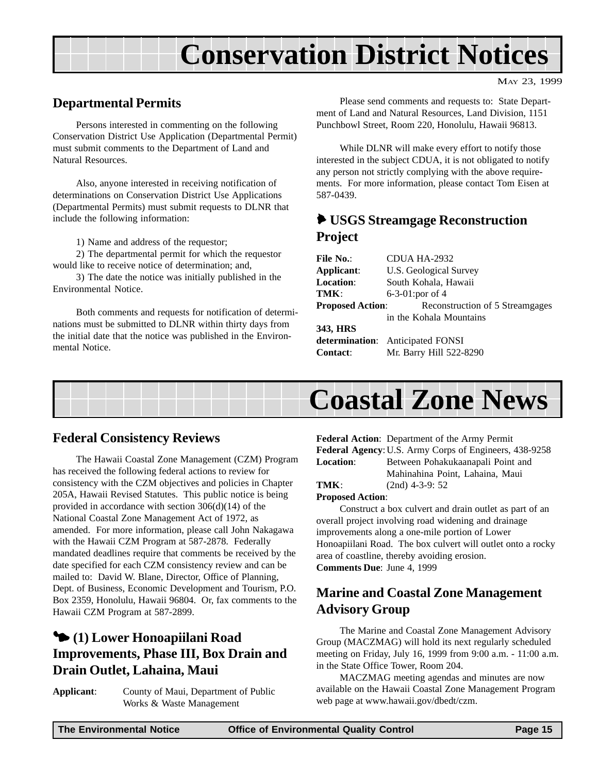## **Conservation District Notices**

MAY 23, 1999

#### <span id="page-14-0"></span>**Departmental Permits**

Persons interested in commenting on the following Conservation District Use Application (Departmental Permit) must submit comments to the Department of Land and Natural Resources.

Also, anyone interested in receiving notification of determinations on Conservation District Use Applications (Departmental Permits) must submit requests to DLNR that include the following information:

1) Name and address of the requestor;

2) The departmental permit for which the requestor would like to receive notice of determination; and,

3) The date the notice was initially published in the Environmental Notice.

Both comments and requests for notification of determinations must be submitted to DLNR within thirty days from the initial date that the notice was published in the Environmental Notice.

Please send comments and requests to: State Department of Land and Natural Resources, Land Division, 1151 Punchbowl Street, Room 220, Honolulu, Hawaii 96813.

While DLNR will make every effort to notify those interested in the subject CDUA, it is not obligated to notify any person not strictly complying with the above requirements. For more information, please contact Tom Eisen at 587-0439.

#### 6 **USGS Streamgage Reconstruction Project**

| File No.:               | CDUA HA-2932                            |
|-------------------------|-----------------------------------------|
| Applicant:              | U.S. Geological Survey                  |
| <b>Location:</b>        | South Kohala, Hawaii                    |
| TMK:                    | 6-3-01:por of $4$                       |
| <b>Proposed Action:</b> | Reconstruction of 5 Streamgages         |
|                         | in the Kohala Mountains                 |
| 343, HRS                |                                         |
|                         | <b>determination:</b> Anticipated FONSI |
| <b>Contact:</b>         | Mr. Barry Hill 522-8290                 |



#### **Federal Consistency Reviews**

The Hawaii Coastal Zone Management (CZM) Program has received the following federal actions to review for consistency with the CZM objectives and policies in Chapter 205A, Hawaii Revised Statutes. This public notice is being provided in accordance with section 306(d)(14) of the National Coastal Zone Management Act of 1972, as amended. For more information, please call John Nakagawa with the Hawaii CZM Program at 587-2878. Federally mandated deadlines require that comments be received by the date specified for each CZM consistency review and can be mailed to: David W. Blane, Director, Office of Planning, Dept. of Business, Economic Development and Tourism, P.O. Box 2359, Honolulu, Hawaii 96804. Or, fax comments to the Hawaii CZM Program at 587-2899.

#### 3 **(1) Lower Honoapiilani Road Improvements, Phase III, Box Drain and Drain Outlet, Lahaina, Maui**

**Applicant**: County of Maui, Department of Public Works & Waste Management

**Federal Action**: Department of the Army Permit **Federal Agency**:U.S. Army Corps of Engineers, 438-9258 **Location**: Between Pohakukaanapali Point and Mahinahina Point, Lahaina, Maui **TMK**: (2nd) 4-3-9: 52

**Proposed Action**:

Construct a box culvert and drain outlet as part of an overall project involving road widening and drainage improvements along a one-mile portion of Lower Honoapiilani Road. The box culvert will outlet onto a rocky area of coastline, thereby avoiding erosion. **Comments Due**: June 4, 1999

#### **Marine and Coastal Zone Management Advisory Group**

The Marine and Coastal Zone Management Advisory Group (MACZMAG) will hold its next regularly scheduled meeting on Friday, July 16, 1999 from 9:00 a.m. - 11:00 a.m. in the State Office Tower, Room 204.

MACZMAG meeting agendas and minutes are now available on the Hawaii Coastal Zone Management Program web page at www.hawaii.gov/dbedt/czm.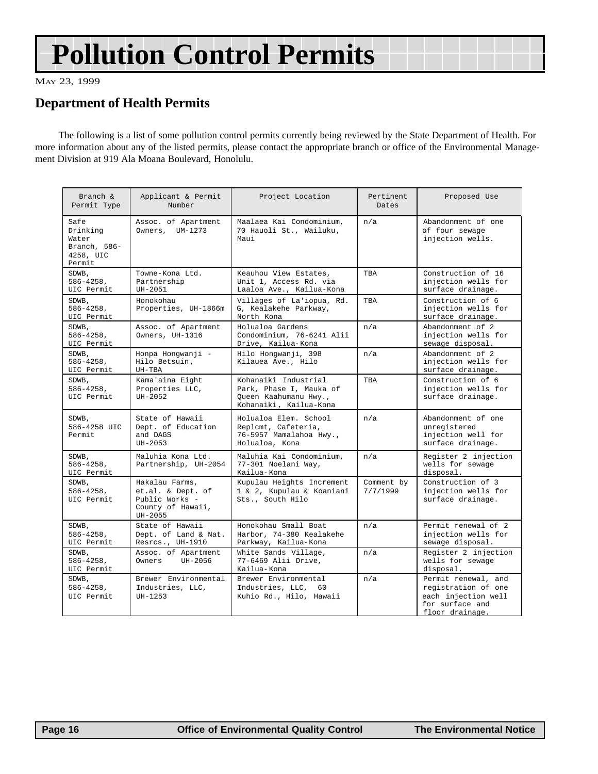## **Pollution Control Permits**

MAY 23, 1999

#### **Department of Health Permits**

The following is a list of some pollution control permits currently being reviewed by the State Department of Health. For more information about any of the listed permits, please contact the appropriate branch or office of the Environmental Management Division at 919 Ala Moana Boulevard, Honolulu.

| Branch &<br>Permit Type                                          | Applicant & Permit<br>Number                                                          | Project Location                                                                                   | Pertinent<br>Dates     | Proposed Use                                                                                            |
|------------------------------------------------------------------|---------------------------------------------------------------------------------------|----------------------------------------------------------------------------------------------------|------------------------|---------------------------------------------------------------------------------------------------------|
| Safe<br>Drinking<br>Water<br>Branch, 586-<br>4258, UIC<br>Permit | Assoc. of Apartment<br>Owners, UM-1273                                                | Maalaea Kai Condominium,<br>70 Hauoli St., Wailuku,<br>Maui                                        | n/a                    | Abandonment of one<br>of four sewage<br>injection wells.                                                |
| SDWB,<br>$586 - 4258$ ,<br>UIC Permit                            | Towne-Kona Ltd.<br>Partnership<br>UH-2051                                             | Keauhou View Estates,<br>Unit 1, Access Rd. via<br>Laaloa Ave., Kailua-Kona                        | TBA                    | Construction of 16<br>injection wells for<br>surface drainage.                                          |
| SDWB,<br>$586 - 4258$ ,<br>UIC Permit                            | Honokohau<br>Properties, UH-1866m                                                     | Villages of La'iopua, Rd.<br>G, Kealakehe Parkway,<br>North Kona                                   | TBA                    | Construction of 6<br>injection wells for<br>surface drainage.                                           |
| SDWB.<br>$586 - 4258$ ,<br>UIC Permit                            | Assoc. of Apartment<br>Owners, UH-1316                                                | Holualoa Gardens<br>Condominium, 76-6241 Alii<br>Drive, Kailua-Kona                                | n/a                    | Abandonment of 2<br>injection wells for<br>sewage disposal.                                             |
| SDWB,<br>$586 - 4258$ ,<br>UIC Permit                            | Honpa Hongwanji -<br>Hilo Betsuin,<br>UH-TBA                                          | Hilo Hongwanji, 398<br>Kilauea Ave., Hilo                                                          | n/a                    | Abandonment of 2<br>injection wells for<br>surface drainage.                                            |
| SDWB,<br>$586 - 4258$ ,<br>UIC Permit                            | Kama'aina Eight<br>Properties LLC,<br>UH-2052                                         | Kohanaiki Industrial<br>Park, Phase I, Mauka of<br>Queen Kaahumanu Hwy.,<br>Kohanaiki, Kailua-Kona | TBA                    | Construction of 6<br>injection wells for<br>surface drainage.                                           |
| SDWB,<br>586-4258 UIC<br>Permit                                  | State of Hawaii<br>Dept. of Education<br>and DAGS<br>UH-2053                          | Holualoa Elem. School<br>Replcmt, Cafeteria,<br>76-5957 Mamalahoa Hwy.,<br>Holualoa, Kona          | n/a                    | Abandonment of one<br>unregistered<br>injection well for<br>surface drainage.                           |
| SDWB,<br>$586 - 4258$ ,<br>UIC Permit                            | Maluhia Kona Ltd.<br>Partnership, UH-2054                                             | Maluhia Kai Condominium,<br>77-301 Noelani Way,<br>Kailua-Kona                                     | n/a                    | Register 2 injection<br>wells for sewage<br>disposal.                                                   |
| SDWB,<br>$586 - 4258$ ,<br>UIC Permit                            | Hakalau Farms,<br>et.al. & Dept. of<br>Public Works -<br>County of Hawaii,<br>UH-2055 | Kupulau Heights Increment<br>1 & 2, Kupulau & Koaniani<br>Sts., South Hilo                         | Comment by<br>7/7/1999 | Construction of 3<br>injection wells for<br>surface drainage.                                           |
| SDWB,<br>$586 - 4258$ .<br>UIC Permit                            | State of Hawaii<br>Dept. of Land & Nat.<br>Resrcs., UH-1910                           | Honokohau Small Boat<br>Harbor, 74-380 Kealakehe<br>Parkway, Kailua-Kona                           | n/a                    | Permit renewal of 2<br>injection wells for<br>sewage disposal.                                          |
| SDWB.<br>$586 - 4258$ ,<br>UIC Permit                            | Assoc. of Apartment<br>Owners<br>UH-2056                                              | White Sands Village,<br>77-6469 Alii Drive,<br>Kailua-Kona                                         | n/a                    | Register 2 injection<br>wells for sewage<br>disposal.                                                   |
| SDWB,<br>$586 - 4258$ ,<br>UIC Permit                            | Brewer Environmental<br>Industries, LLC,<br>UH-1253                                   | Brewer Environmental<br>Industries, LLC,<br>60<br>Kuhio Rd., Hilo, Hawaii                          | n/a                    | Permit renewal, and<br>registration of one<br>each injection well<br>for surface and<br>floor drainage. |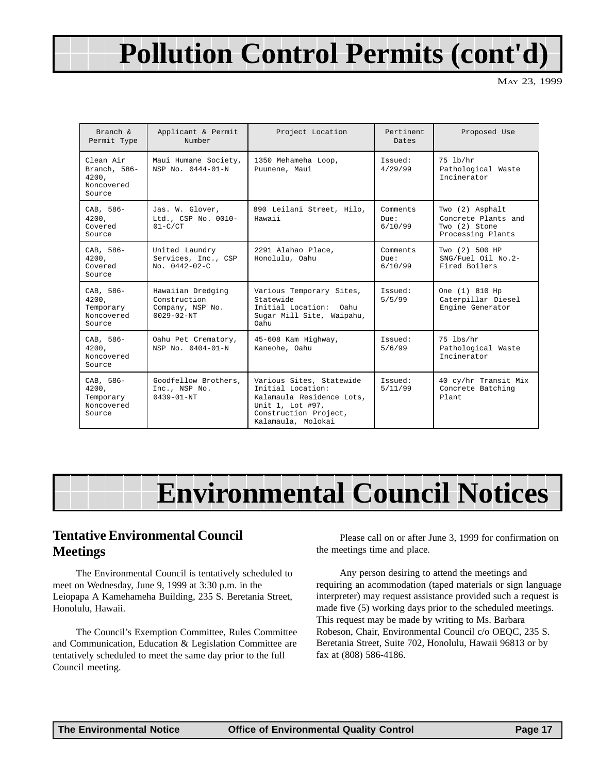## **Pollution Control Permits (cont'd)**

MAY 23, 1999

| Branch $\delta$<br>Permit Type                             | Applicant & Permit<br>Number                                              | Project Location                                                                                                                              | Pertinent<br>Dates              | Proposed Use                                                                 |  |
|------------------------------------------------------------|---------------------------------------------------------------------------|-----------------------------------------------------------------------------------------------------------------------------------------------|---------------------------------|------------------------------------------------------------------------------|--|
| Clean Air<br>Branch, 586-<br>4200.<br>Noncovered<br>Source | Maui Humane Society,<br>NSP No. 0444-01-N                                 | 1350 Mehameha Loop,<br>Puunene, Maui                                                                                                          | Issued:<br>4/29/99              | 75 lb/hr<br>Pathological Waste<br>Incinerator                                |  |
| CAB, 586-<br>4200.<br>Covered<br>Source                    | Jas. W. Glover,<br>Ltd., CSP No. 0010-<br>$01-C/CT$                       | 890 Leilani Street, Hilo,<br>Hawaii                                                                                                           | Comments<br>Due:<br>6/10/99     | Two (2) Asphalt<br>Concrete Plants and<br>Two (2) Stone<br>Processing Plants |  |
| CAB, 586-<br>4200,<br>Covered<br>Source                    | United Laundry<br>Services, Inc., CSP<br>$No. 0442 - 02 - C$              | 2291 Alahao Place,<br>Honolulu, Oahu                                                                                                          | Comments<br>$D11e$ :<br>6/10/99 | Two (2) 500 HP<br>SNG/Fuel Oil No.2-<br>Fired Boilers                        |  |
| CAB, 586-<br>4200.<br>Temporary<br>Noncovered<br>Source    | Hawaiian Dredging<br>Construction<br>Company, NSP No.<br>$0029 - 02 - NT$ | Various Temporary Sites,<br>Statewide<br>Initial Location:<br>Oahu<br>Sugar Mill Site, Waipahu,<br>Oahu.                                      | Issued:<br>5/5/99               | One (1) 810 Hp<br>Caterpillar Diesel<br>Engine Generator                     |  |
| CAB, 586-<br>4200.<br>Noncovered<br>Source                 | Oahu Pet Crematory,<br>NSP No. 0404-01-N                                  | 45-608 Kam Highway,<br>Kaneohe, Oahu                                                                                                          | Issued:<br>5/6/99               | 75 lbs/hr<br>Pathological Waste<br>Incinerator                               |  |
| CAB, 586-<br>4200,<br>Temporary<br>Noncovered<br>Source    | Goodfellow Brothers,<br>Inc., NSP No.<br>$0439 - 01 - NT$                 | Various Sites, Statewide<br>Initial Location:<br>Kalamaula Residence Lots,<br>Unit 1, Lot #97,<br>Construction Project,<br>Kalamaula, Molokai | Issued:<br>5/11/99              | 40 cy/hr Transit Mix<br>Concrete Batching<br>Plant.                          |  |

## **Environmental Council Notices**

#### **Tentative Environmental Council Meetings**

The Environmental Council is tentatively scheduled to meet on Wednesday, June 9, 1999 at 3:30 p.m. in the Leiopapa A Kamehameha Building, 235 S. Beretania Street, Honolulu, Hawaii.

The Council's Exemption Committee, Rules Committee and Communication, Education & Legislation Committee are tentatively scheduled to meet the same day prior to the full Council meeting.

Please call on or after June 3, 1999 for confirmation on the meetings time and place.

Any person desiring to attend the meetings and requiring an acommodation (taped materials or sign language interpreter) may request assistance provided such a request is made five (5) working days prior to the scheduled meetings. This request may be made by writing to Ms. Barbara Robeson, Chair, Environmental Council c/o OEQC, 235 S. Beretania Street, Suite 702, Honolulu, Hawaii 96813 or by fax at (808) 586-4186.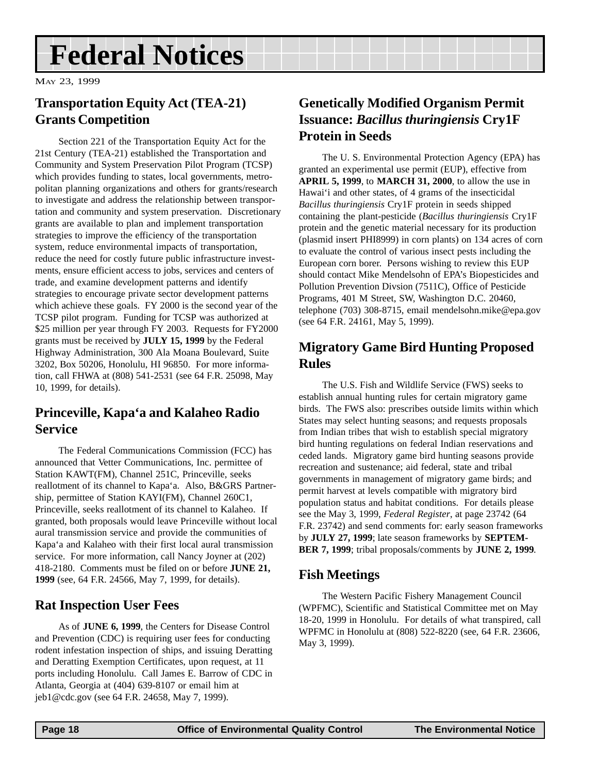## <span id="page-17-0"></span>**Federal Notices**

MAY 23, 1999

#### **Transportation Equity Act (TEA-21) Grants Competition**

Section 221 of the Transportation Equity Act for the 21st Century (TEA-21) established the Transportation and Community and System Preservation Pilot Program (TCSP) which provides funding to states, local governments, metropolitan planning organizations and others for grants/research to investigate and address the relationship between transportation and community and system preservation. Discretionary grants are available to plan and implement transportation strategies to improve the efficiency of the transportation system, reduce environmental impacts of transportation, reduce the need for costly future public infrastructure investments, ensure efficient access to jobs, services and centers of trade, and examine development patterns and identify strategies to encourage private sector development patterns which achieve these goals. FY 2000 is the second year of the TCSP pilot program. Funding for TCSP was authorized at \$25 million per year through FY 2003. Requests for FY2000 grants must be received by **JULY 15, 1999** by the Federal Highway Administration, 300 Ala Moana Boulevard, Suite 3202, Box 50206, Honolulu, HI 96850. For more information, call FHWA at (808) 541-2531 (see 64 F.R. 25098, May 10, 1999, for details).

#### **Princeville, Kapa'a and Kalaheo Radio Service**

The Federal Communications Commission (FCC) has announced that Vetter Communications, Inc. permittee of Station KAWT(FM), Channel 251C, Princeville, seeks reallotment of its channel to Kapa'a. Also, B&GRS Partnership, permittee of Station KAYI(FM), Channel 260C1, Princeville, seeks reallotment of its channel to Kalaheo. If granted, both proposals would leave Princeville without local aural transmission service and provide the communities of Kapa'a and Kalaheo with their first local aural transmission service. For more information, call Nancy Joyner at (202) 418-2180. Comments must be filed on or before **JUNE 21, 1999** (see, 64 F.R. 24566, May 7, 1999, for details).

#### **Rat Inspection User Fees**

As of **JUNE 6, 1999**, the Centers for Disease Control and Prevention (CDC) is requiring user fees for conducting rodent infestation inspection of ships, and issuing Deratting and Deratting Exemption Certificates, upon request, at 11 ports including Honolulu. Call James E. Barrow of CDC in Atlanta, Georgia at (404) 639-8107 or email him at jeb1@cdc.gov (see 64 F.R. 24658, May 7, 1999).

#### **Genetically Modified Organism Permit Issuance:** *Bacillus thuringiensis* **Cry1F Protein in Seeds**

The U. S. Environmental Protection Agency (EPA) has granted an experimental use permit (EUP), effective from **APRIL 5, 1999**, to **MARCH 31, 2000**, to allow the use in Hawai'i and other states, of 4 grams of the insecticidal *Bacillus thuringiensis* Cry1F protein in seeds shipped containing the plant-pesticide (*Bacillus thuringiensis* Cry1F protein and the genetic material necessary for its production (plasmid insert PHI8999) in corn plants) on 134 acres of corn to evaluate the control of various insect pests including the European corn borer. Persons wishing to review this EUP should contact Mike Mendelsohn of EPA's Biopesticides and Pollution Prevention Divsion (7511C), Office of Pesticide Programs, 401 M Street, SW, Washington D.C. 20460, telephone (703) 308-8715, email mendelsohn.mike@epa.gov (see 64 F.R. 24161, May 5, 1999).

#### **Migratory Game Bird Hunting Proposed Rules**

The U.S. Fish and Wildlife Service (FWS) seeks to establish annual hunting rules for certain migratory game birds. The FWS also: prescribes outside limits within which States may select hunting seasons; and requests proposals from Indian tribes that wish to establish special migratory bird hunting regulations on federal Indian reservations and ceded lands. Migratory game bird hunting seasons provide recreation and sustenance; aid federal, state and tribal governments in management of migratory game birds; and permit harvest at levels compatible with migratory bird population status and habitat conditions. For details please see the May 3, 1999, *Federal Register*, at page 23742 (64 F.R. 23742) and send comments for: early season frameworks by **JULY 27, 1999**; late season frameworks by **SEPTEM-BER 7, 1999**; tribal proposals/comments by **JUNE 2, 1999**.

#### **Fish Meetings**

The Western Pacific Fishery Management Council (WPFMC), Scientific and Statistical Committee met on May 18-20, 1999 in Honolulu. For details of what transpired, call WPFMC in Honolulu at (808) 522-8220 (see, 64 F.R. 23606, May 3, 1999).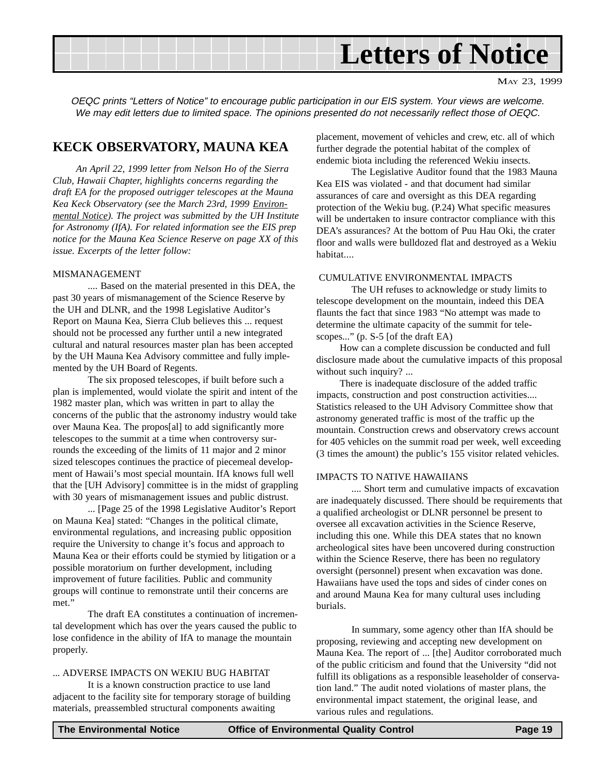

MAY 23, 1999

OEQC prints "Letters of Notice" to encourage public participation in our EIS system. Your views are welcome. We may edit letters due to limited space. The opinions presented do not necessarily reflect those of OEQC.

#### **KECK OBSERVATORY, MAUNA KEA**

*An April 22, 1999 letter from Nelson Ho of the Sierra Club, Hawaii Chapter, highlights concerns regarding the draft EA for the proposed outrigger telescopes at the Mauna Kea Keck Observatory (see the March 23rd, 1999 Environmental Notice). The project was submitted by the UH Institute for Astronomy (IfA). For related information see the EIS prep notice for the Mauna Kea Science Reserve on page XX of this issue. Excerpts of the letter follow:*

#### MISMANAGEMENT

.... Based on the material presented in this DEA, the past 30 years of mismanagement of the Science Reserve by the UH and DLNR, and the 1998 Legislative Auditor's Report on Mauna Kea, Sierra Club believes this ... request should not be processed any further until a new integrated cultural and natural resources master plan has been accepted by the UH Mauna Kea Advisory committee and fully implemented by the UH Board of Regents.

The six proposed telescopes, if built before such a plan is implemented, would violate the spirit and intent of the 1982 master plan, which was written in part to allay the concerns of the public that the astronomy industry would take over Mauna Kea. The propos[al] to add significantly more telescopes to the summit at a time when controversy surrounds the exceeding of the limits of 11 major and 2 minor sized telescopes continues the practice of piecemeal development of Hawaii's most special mountain. IfA knows full well that the [UH Advisory] committee is in the midst of grappling with 30 years of mismanagement issues and public distrust.

... [Page 25 of the 1998 Legislative Auditor's Report on Mauna Kea] stated: "Changes in the political climate, environmental regulations, and increasing public opposition require the University to change it's focus and approach to Mauna Kea or their efforts could be stymied by litigation or a possible moratorium on further development, including improvement of future facilities. Public and community groups will continue to remonstrate until their concerns are met."

The draft EA constitutes a continuation of incremental development which has over the years caused the public to lose confidence in the ability of IfA to manage the mountain properly.

#### ... ADVERSE IMPACTS ON WEKIU BUG HABITAT

It is a known construction practice to use land adjacent to the facility site for temporary storage of building materials, preassembled structural components awaiting

placement, movement of vehicles and crew, etc. all of which further degrade the potential habitat of the complex of endemic biota including the referenced Wekiu insects.

The Legislative Auditor found that the 1983 Mauna Kea EIS was violated - and that document had similar assurances of care and oversight as this DEA regarding protection of the Wekiu bug. (P.24) What specific measures will be undertaken to insure contractor compliance with this DEA's assurances? At the bottom of Puu Hau Oki, the crater floor and walls were bulldozed flat and destroyed as a Wekiu habitat....

#### CUMULATIVE ENVIRONMENTAL IMPACTS

The UH refuses to acknowledge or study limits to telescope development on the mountain, indeed this DEA flaunts the fact that since 1983 "No attempt was made to determine the ultimate capacity of the summit for telescopes..." (p. S-5 [of the draft EA)

How can a complete discussion be conducted and full disclosure made about the cumulative impacts of this proposal without such inquiry? ...

There is inadequate disclosure of the added traffic impacts, construction and post construction activities.... Statistics released to the UH Advisory Committee show that astronomy generated traffic is most of the traffic up the mountain. Construction crews and observatory crews account for 405 vehicles on the summit road per week, well exceeding (3 times the amount) the public's 155 visitor related vehicles.

#### IMPACTS TO NATIVE HAWAIIANS

.... Short term and cumulative impacts of excavation are inadequately discussed. There should be requirements that a qualified archeologist or DLNR personnel be present to oversee all excavation activities in the Science Reserve, including this one. While this DEA states that no known archeological sites have been uncovered during construction within the Science Reserve, there has been no regulatory oversight (personnel) present when excavation was done. Hawaiians have used the tops and sides of cinder cones on and around Mauna Kea for many cultural uses including burials.

In summary, some agency other than IfA should be proposing, reviewing and accepting new development on Mauna Kea. The report of ... [the] Auditor corroborated much of the public criticism and found that the University "did not fulfill its obligations as a responsible leaseholder of conservation land." The audit noted violations of master plans, the environmental impact statement, the original lease, and various rules and regulations.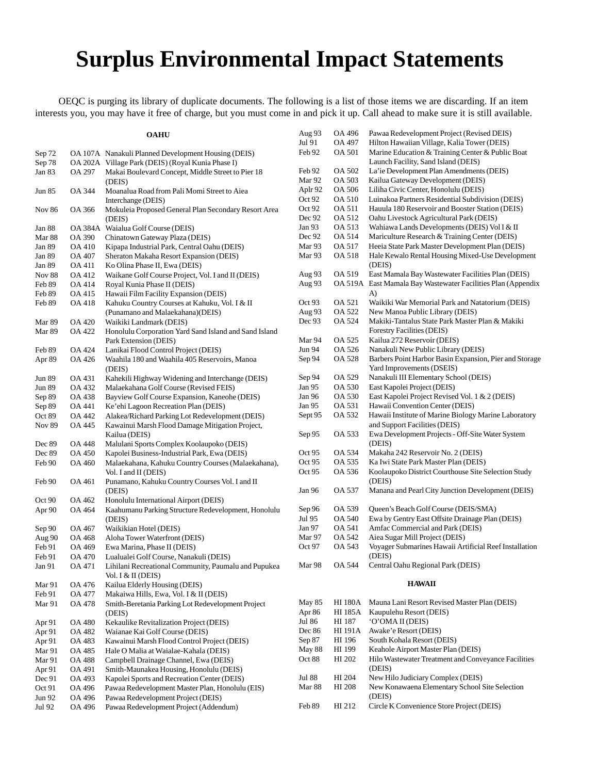### **Surplus Environmental Impact Statements**

OEQC is purging its library of duplicate documents. The following is a list of those items we are discarding. If an item interests you, you may have it free of charge, but you must come in and pick it up. Call ahead to make sure it is still available.

**OAHU**

| Sep 72        |               | OA 107A Nanakuli Planned Development Housing (DEIS)                               |
|---------------|---------------|-----------------------------------------------------------------------------------|
| Sep 78        |               | OA 202A Village Park (DEIS) (Royal Kunia Phase I)                                 |
| Jan 83        | OA 297        | Makai Boulevard Concept, Middle Street to Pier 18<br>(DEIS)                       |
| Jun 85        | OA 344        | Moanalua Road from Pali Momi Street to Aiea<br>Interchange (DEIS)                 |
| <b>Nov 86</b> | OA 366        | Mokuleia Proposed General Plan Secondary Resort Area<br>(DEIS)                    |
| Jan 88        | OA 384A       | Waialua Golf Course (DEIS)                                                        |
| Mar 88        | OA 390        | Chinatown Gateway Plaza (DEIS)                                                    |
| Jan 89        | OA 410        | Kipapa Industrial Park, Central Oahu (DEIS)                                       |
| Jan 89        | OA 407        | Sheraton Makaha Resort Expansion (DEIS)                                           |
| Jan 89        | OA 411        | Ko Olina Phase II, Ewa (DEIS)                                                     |
| <b>Nov 88</b> | <b>OA 412</b> | Waikane Golf Course Project, Vol. I and II (DEIS)                                 |
| Feb 89        | OA 414        | Royal Kunia Phase II (DEIS)                                                       |
| Feb 89        | OA 415        | Hawaii Film Facility Expansion (DEIS)                                             |
| Feb 89        | OA 418        | Kahuku Country Courses at Kahuku, Vol. I & II<br>(Punamano and Malaekahana)(DEIS) |
| Mar 89        | OA 420        | Waikiki Landmark (DEIS)                                                           |
| Mar 89        | OA 422        | Honolulu Corporation Yard Sand Island and Sand Island                             |
|               |               | Park Extension (DEIS)                                                             |
| Feb 89        | OA 424        | Lanikai Flood Control Project (DEIS)                                              |
| Apr 89        | OA 426        | Waahila 180 and Waahila 405 Reservoirs, Manoa<br>(DEIS)                           |
| <b>Jun 89</b> | OA 431        | Kahekili Highway Widening and Interchange (DEIS)                                  |
| <b>Jun 89</b> | OA 432        | Malaekahana Golf Course (Revised FEIS)                                            |
| Sep 89        | OA 438        | Bayview Golf Course Expansion, Kaneohe (DEIS)                                     |
| Sep 89        | OA 441        | Ke'ehi Lagoon Recreation Plan (DEIS)                                              |
| Oct 89        | OA 442        | Alakea/Richard Parking Lot Redevelopment (DEIS)                                   |
| <b>Nov 89</b> | OA 445        | Kawainui Marsh Flood Damage Mitigation Project,<br>Kailua (DEIS)                  |
| Dec 89        | OA 448        | Malulani Sports Complex Koolaupoko (DEIS)                                         |
| Dec 89        | OA 450        | Kapolei Business-Industrial Park, Ewa (DEIS)                                      |
| Feb 90        | OA 460        | Malaekahana, Kahuku Country Courses (Malaekahana),<br>Vol. I and II (DEIS)        |
| Feb 90        | OA 461        | Punamano, Kahuku Country Courses Vol. I and II<br>(DEIS)                          |
| Oct 90        | OA 462        | Honolulu International Airport (DEIS)                                             |
| Apr 90        | OA 464        | Kaahumanu Parking Structure Redevelopment, Honolulu<br>(DEIS)                     |
| Sep 90        | OA 467        | Waikikian Hotel (DEIS)                                                            |
| Aug 90        | OA 468        | Aloha Tower Waterfront (DEIS)                                                     |
| Feb 91        | OA 469        | Ewa Marina, Phase II (DEIS)                                                       |
| Feb 91        | OA 470        | Lualualei Golf Course, Nanakuli (DEIS)                                            |
| Jan 91        | OA 471        | Lihilani Recreational Community, Paumalu and Pupukea<br>Vol. I & II (DEIS)        |
| Mar 91        | OA 476        | Kailua Elderly Housing (DEIS)                                                     |
| Feb 91        | OA 477        | Makaiwa Hills, Ewa, Vol. I & II (DEIS)                                            |
| Mar 91        | OA 478        | Smith-Beretania Parking Lot Redevelopment Project<br>(DEIS)                       |
| Apr 91        | <b>OA 480</b> | Kekaulike Revitalization Project (DEIS)                                           |
| Apr 91        | OA 482        | Waianae Kai Golf Course (DEIS)                                                    |
| Apr 91        | OA 483        | Kawainui Marsh Flood Control Project (DEIS)                                       |
| Mar 91        | OA 485        | Hale O Malia at Waialae-Kahala (DEIS)                                             |
| Mar 91        | OA 488        | Campbell Drainage Channel, Ewa (DEIS)                                             |
| Apr 91        | OA 491        | Smith-Maunakea Housing, Honolulu (DEIS)                                           |
| Dec 91        | OA 493        | Kapolei Sports and Recreation Center (DEIS)                                       |
| Oct 91        | OA 496        | Pawaa Redevelopment Master Plan, Honolulu (EIS)                                   |
| Jun 92        | OA 496        | Pawaa Redevelopment Project (DEIS)                                                |
| Jul 92        | OA 496        | Pawaa Redevelopment Project (Addendum)                                            |

| Aug 93  | OA 496         | Pawaa Redevelopment Project (Revised DEIS)                                              |
|---------|----------------|-----------------------------------------------------------------------------------------|
| Jul 91  | OA 497         | Hilton Hawaiian Village, Kalia Tower (DEIS)                                             |
| Feb 92  | OA 501         | Marine Education & Training Center & Public Boat<br>Launch Facility, Sand Island (DEIS) |
| Feb 92  | OA 502         | La'ie Development Plan Amendments (DEIS)                                                |
| Mar 92  | OA 503         | Kailua Gateway Development (DEIS)                                                       |
| Aplr 92 | OA 506         | Liliha Civic Center, Honolulu (DEIS)                                                    |
| Oct 92  | OA 510         | Luinakoa Partners Residential Subdivision (DEIS)                                        |
| Oct 92  | OA 511         | Hauula 180 Reservoir and Booster Station (DEIS)                                         |
| Dec 92  | OA 512         | Oahu Livestock Agricultural Park (DEIS)                                                 |
| Jan 93  | OA 513         | Wahiawa Lands Developments (DEIS) Vol I & II                                            |
| Dec 92  | OA 514         | Mariculture Research & Training Center (DEIS)                                           |
| Mar 93  | OA 517         | Heeia State Park Master Development Plan (DEIS)                                         |
| Mar 93  | OA 518         | Hale Kewalo Rental Housing Mixed-Use Development<br>(DEIS)                              |
| Aug 93  | OA 519         | East Mamala Bay Wastewater Facilities Plan (DEIS)                                       |
| Aug 93  | OA 519A        | East Mamala Bay Wastewater Facilities Plan (Appendix<br>A)                              |
| Oct 93  | OA 521         | Waikiki War Memorial Park and Natatorium (DEIS)                                         |
| Aug 93  | OA 522         | New Manoa Public Library (DEIS)                                                         |
| Dec 93  | OA 524         | Makiki-Tantalus State Park Master Plan & Makiki                                         |
|         |                | Forestry Facilities (DEIS)                                                              |
| Mar 94  | OA 525         | Kailua 272 Reservoir (DEIS)                                                             |
| Jun 94  | OA 526         | Nanakuli New Public Library (DEIS)                                                      |
| Sep 94  | OA 528         | Barbers Point Harbor Basin Expansion, Pier and Storage                                  |
|         |                | Yard Improvements (DSEIS)                                                               |
| Sep 94  | OA 529         | Nanakuli III Elementary School (DEIS)                                                   |
| Jan 95  | OA 530         | East Kapolei Project (DEIS)                                                             |
| Jan 96  | OA 530         | East Kapolei Project Revised Vol. 1 & 2 (DEIS)                                          |
| Jan 95  | OA 531         | Hawaii Convention Center (DEIS)                                                         |
| Sept 95 | OA 532         | Hawaii Institute of Marine Biology Marine Laboratory<br>and Support Facilities (DEIS)   |
| Sep 95  | OA 533         | Ewa Development Projects - Off-Site Water System<br>(DEIS)                              |
| Oct 95  | OA 534         | Makaha 242 Reservoir No. 2 (DEIS)                                                       |
| Oct 95  | OA 535         | Ka Iwi State Park Master Plan (DEIS)                                                    |
| Oct 95  | OA 536         | Koolaupoko District Courthouse Site Selection Study<br>(DEIS)                           |
| Jan 96  | OA 537         | Manana and Pearl City Junction Development (DEIS)                                       |
| Sep 96  | OA 539         | Queen's Beach Golf Course (DEIS/SMA)                                                    |
| Jul 95  | OA 540         | Ewa by Gentry East Offsite Drainage Plan (DEIS)                                         |
| Jan 97  | OA 541         | Amfac Commercial and Park (DEIS)                                                        |
| Mar 97  | OA 542         | Aiea Sugar Mill Project (DEIS)                                                          |
| Oct 97  | OA 543         | Voyager Submarines Hawaii Artificial Reef Installation<br>(DEIS)                        |
| Mar 98  | OA 544         | Central Oahu Regional Park (DEIS)                                                       |
|         |                | <b>HAWAII</b>                                                                           |
| May 85  | <b>HI 180A</b> | Mauna Lani Resort Revised Master Plan (DEIS)                                            |

| Apr 86 |         | HI 185A Kaupulehu Resort (DEIS)                     |
|--------|---------|-----------------------------------------------------|
| Jul 86 | HI 187  | 'O'OMA II (DEIS)                                    |
| Dec 86 | HI 191A | Awake'e Resort (DEIS)                               |
| Sep 87 | HI 196  | South Kohala Resort (DEIS)                          |
| May 88 | HI 199  | Keahole Airport Master Plan (DEIS)                  |
| Oct 88 | HI 202  | Hilo Wastewater Treatment and Conveyance Facilities |
|        |         | (DEIS)                                              |

Jul 88 HI 204 New Hilo Judiciary Complex (DEIS) New Konawaena Elementary School Site Selection (DEIS) Feb 89 HI 212 Circle K Convenience Store Project (DEIS)